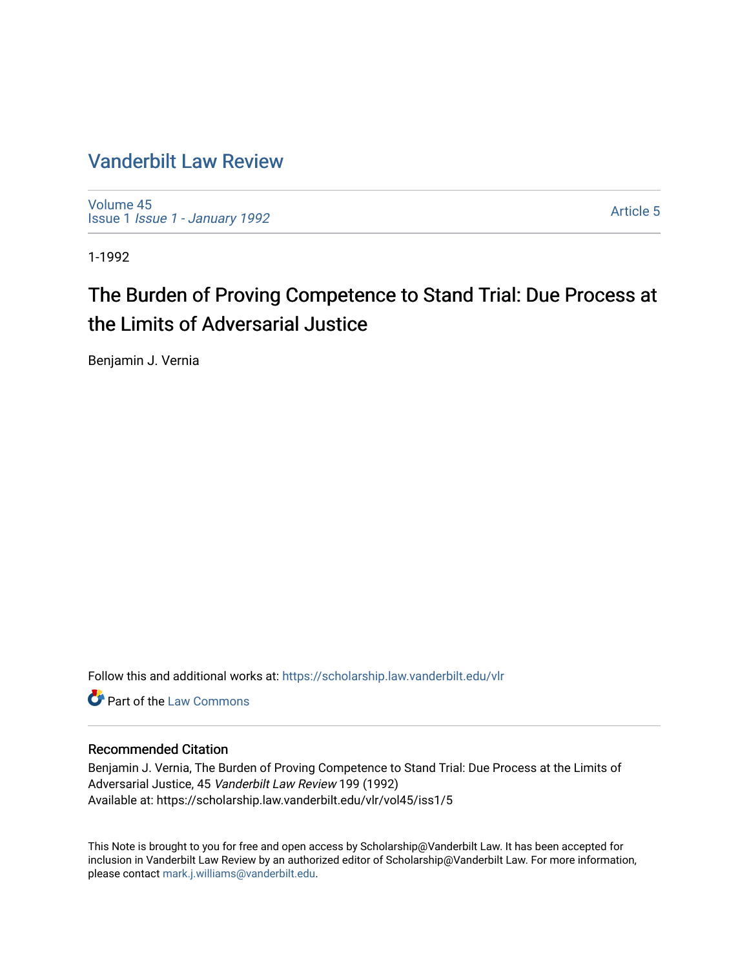# [Vanderbilt Law Review](https://scholarship.law.vanderbilt.edu/vlr)

[Volume 45](https://scholarship.law.vanderbilt.edu/vlr/vol45) Issue 1 [Issue 1 - January 1992](https://scholarship.law.vanderbilt.edu/vlr/vol45/iss1)

[Article 5](https://scholarship.law.vanderbilt.edu/vlr/vol45/iss1/5) 

1-1992

# The Burden of Proving Competence to Stand Trial: Due Process at the Limits of Adversarial Justice

Benjamin J. Vernia

Follow this and additional works at: [https://scholarship.law.vanderbilt.edu/vlr](https://scholarship.law.vanderbilt.edu/vlr?utm_source=scholarship.law.vanderbilt.edu%2Fvlr%2Fvol45%2Fiss1%2F5&utm_medium=PDF&utm_campaign=PDFCoverPages)

**C** Part of the [Law Commons](http://network.bepress.com/hgg/discipline/578?utm_source=scholarship.law.vanderbilt.edu%2Fvlr%2Fvol45%2Fiss1%2F5&utm_medium=PDF&utm_campaign=PDFCoverPages)

# Recommended Citation

Benjamin J. Vernia, The Burden of Proving Competence to Stand Trial: Due Process at the Limits of Adversarial Justice, 45 Vanderbilt Law Review 199 (1992) Available at: https://scholarship.law.vanderbilt.edu/vlr/vol45/iss1/5

This Note is brought to you for free and open access by Scholarship@Vanderbilt Law. It has been accepted for inclusion in Vanderbilt Law Review by an authorized editor of Scholarship@Vanderbilt Law. For more information, please contact [mark.j.williams@vanderbilt.edu.](mailto:mark.j.williams@vanderbilt.edu)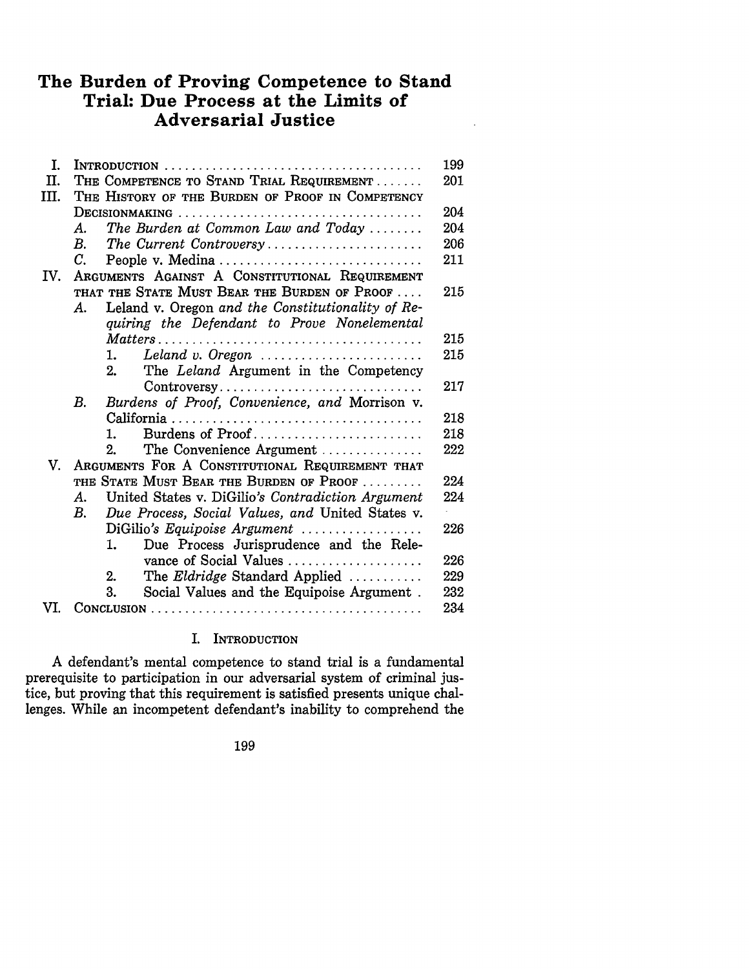# **The Burden of Proving Competence to Stand Trial: Due Process at the Limits of Adversarial Justice**

 $\bar{\mathcal{L}}$ 

| T.   |                                                                    | 199 |
|------|--------------------------------------------------------------------|-----|
| П.   | THE COMPETENCE TO STAND TRIAL REQUIREMENT                          | 201 |
| III. | THE HISTORY OF THE BURDEN OF PROOF IN COMPETENCY                   |     |
|      | DECISIONMAKING                                                     | 204 |
|      | The Burden at Common Law and Today $\ldots \ldots$<br>A.           | 204 |
|      | B.<br>The Current Controversy                                      | 206 |
|      | $C_{\cdot}$<br>People v. Medina                                    | 211 |
| IV.  | ARGUMENTS AGAINST A CONSTITUTIONAL REQUIREMENT                     |     |
|      | THAT THE STATE MUST BEAR THE BURDEN OF PROOF                       | 215 |
|      | Leland v. Oregon and the Constitutionality of Re-<br>A.            |     |
|      | quiring the Defendant to Prove Nonelemental                        |     |
|      |                                                                    | 215 |
|      | Leland v. Oregon $\ldots \ldots \ldots \ldots \ldots \ldots$<br>1. | 215 |
|      | The Leland Argument in the Competency<br>2.                        |     |
|      | Controversy                                                        | 217 |
|      | Burdens of Proof, Convenience, and Morrison v.<br>В.               |     |
|      |                                                                    | 218 |
|      | Burdens of Proof<br>1.                                             | 218 |
|      | The Convenience Argument<br>2.                                     | 222 |
| V.   | ARGUMENTS FOR A CONSTITUTIONAL REQUIREMENT THAT                    |     |
|      | THE STATE MUST BEAR THE BURDEN OF PROOF                            | 224 |
|      | United States v. DiGilio's Contradiction Argument<br>А.            | 224 |
|      | В.<br>Due Process, Social Values, and United States v.             | k.  |
|      | $\text{DiGilio's}$ Equipoise Argument                              | 226 |
|      | Due Process Jurisprudence and the Rele-<br>$1_{-}$                 |     |
|      | vance of Social Values                                             | 226 |
|      | The Eldridge Standard Applied<br>2.                                | 229 |
|      | 3.<br>Social Values and the Equipoise Argument.                    | 232 |
| VI.  |                                                                    | 234 |
|      |                                                                    |     |

# I. INTRODUCTION

A defendant's mental competence to stand trial is a fundamental prerequisite to participation in our adversarial system of criminal justice, but proving that this requirement is satisfied presents unique challenges. While an incompetent defendant's inability to comprehend the

199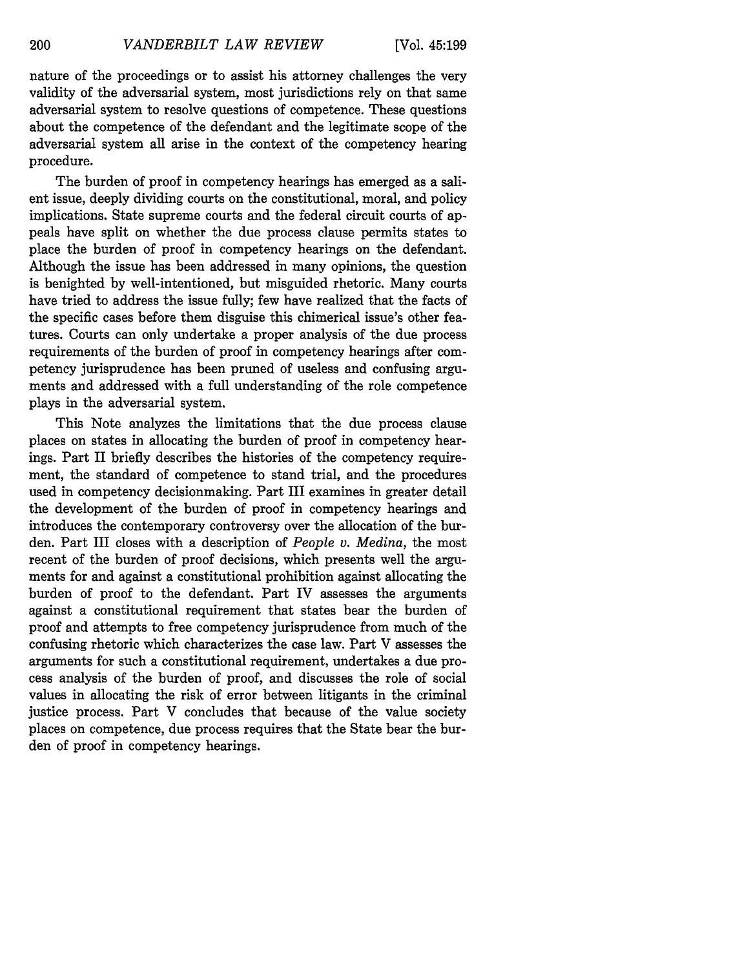nature of the proceedings or to assist his attorney challenges the very validity of the adversarial system, most jurisdictions rely on that same adversarial system to resolve questions of competence. These questions about the competence of the defendant and the legitimate scope of the adversarial system all arise in the context of the competency hearing procedure.

The burden of proof in competency hearings has emerged as a salient issue, deeply dividing courts on the constitutional, moral, and policy implications. State supreme courts and the federal circuit courts of appeals have split on whether the due process clause permits states to place the burden of proof in competency hearings on the defendant. Although the issue has been addressed in many opinions, the question is benighted by well-intentioned, but misguided rhetoric. Many courts have tried to address the issue fully; few have realized that the facts of the specific cases before them disguise this chimerical issue's other features. Courts can only undertake a proper analysis of the due process requirements of the burden of proof in competency hearings after competency jurisprudence has been pruned of useless and confusing arguments and addressed with a full understanding of the role competence plays in the adversarial system.

This Note analyzes the limitations that the due process clause places on states in allocating the burden of proof in competency hearings. Part II briefly describes the histories of the competency requirement, the standard of competence to stand trial, and the procedures used in competency decisionmaking. Part III examines in greater detail the development of the burden of proof in competency hearings and introduces the contemporary controversy over the allocation of the burden. Part III closes with a description of *People v. Medina,* the most recent of the burden of proof decisions, which presents well the arguments for and against a constitutional prohibition against allocating the burden of proof to the defendant. Part IV assesses the arguments against a constitutional requirement that states bear the burden of proof and attempts to free competency jurisprudence from much of the confusing rhetoric which characterizes the case law. Part V assesses the arguments for such a constitutional requirement, undertakes a due process analysis of the burden of proof, and discusses the role of social values in allocating the risk of error between litigants in the criminal justice process. Part V concludes that because of the value society places on competence, due process requires that the State bear the burden of proof in competency hearings.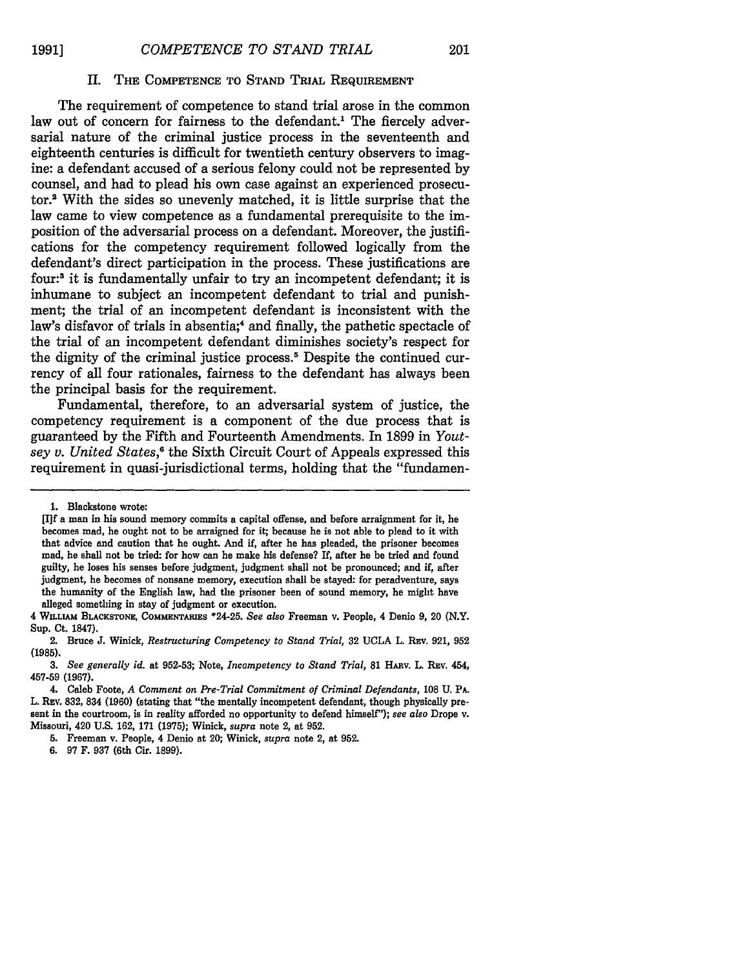#### II. THE **COMPETENCE** TO **STAND** TRIAL REQUIREMENT

The requirement of competence to stand trial arose in the common law out of concern for fairness to the defendant.<sup>1</sup> The fiercely adversarial nature of the criminal justice process in the seventeenth and eighteenth centuries is difficult for twentieth century observers to imagine: a defendant accused of a serious felony could not be represented **by** counsel, and had to plead his own case against an experienced prosecutor.2 With the sides so unevenly matched, it is little surprise that the law came to view competence as a fundamental prerequisite to the imposition of the adversarial process on a defendant. Moreover, the justifications for the competency requirement followed logically from the defendant's direct participation in the process. These justifications are four:<sup>3</sup> it is fundamentally unfair to try an incompetent defendant; it is inhumane to subject an incompetent defendant to trial and punishment; the trial of an incompetent defendant is inconsistent with the law's disfavor of trials in absentia;<sup>4</sup> and finally, the pathetic spectacle of the trial of an incompetent defendant diminishes society's respect for the dignity of the criminal justice process.<sup>5</sup> Despite the continued currency of all four rationales, fairness to the defendant has always been the principal basis for the requirement.

Fundamental, therefore, to an adversarial system of justice, the competency requirement is a component of the due process that is guaranteed **by** the Fifth and Fourteenth Amendments. In **1899** in *Youtsey v. United States,6* the Sixth Circuit Court of Appeals expressed this requirement in quasi-jurisdictional terms, holding that the "fundamen-

**6. 97** F. **937** (6th Cir. **1899).**

**<sup>1.</sup>** Blackstone wrote:

**<sup>[</sup>I]f** a man in his sound memory commits a capital offense, and before arraignment for it, he becomes mad, he ought not to be arraigned for **it;** because he is not able to plead to it with that advice and caution that he ought. And if, after he has pleaded, the prisoner becomes mad, he shall not be tried: for how can he make his defense? If, after he be tried and found guilty, he loses his senses before judgment, judgment shall not be pronounced; and **if,** after judgment, he becomes of nonsane memory, execution shall be stayed: for peradventure, says the humanity of the English law, had the prisoner been of sound memory, he might have alleged something in stay of judgment or execution.

**<sup>4</sup> WILLAm BLACKSTONE, COMMNTARIES** \*24-25. *See also* Freeman v. People, 4 Denio **9,** 20 (N.Y. Sup. Ct. **1847).**

<sup>2.</sup> Bruce **J.** Winick, *Restructuring Competency to Stand Trial,* **32 UCLA** L. REv. **921, 952 (1985).**

*<sup>3.</sup> See generally id.* at **952-53;** Note, *Incompetency to Stand Trial,* **81** HARv. L. R v. 454, **457-59 (1967).**

<sup>4.</sup> Caleb Foote, *A Comment on Pre-Trial Commitment of Criminal Defendants,* **108 U. PA.** L. REv. **832,** 834 **(1960)** (stating that "the mentally incompetent defendant, though physically present in the courtroom, is in reality afforded no opportunity to defend himself"); *see also* Drope v. Missouri, 420 **U.S. 162, 171 (1975);** Winick, *supra* note 2, at **952.**

**<sup>5.</sup>** Freeman v. People, 4 Denio at 20; Winick, *supra* note 2, at **952.**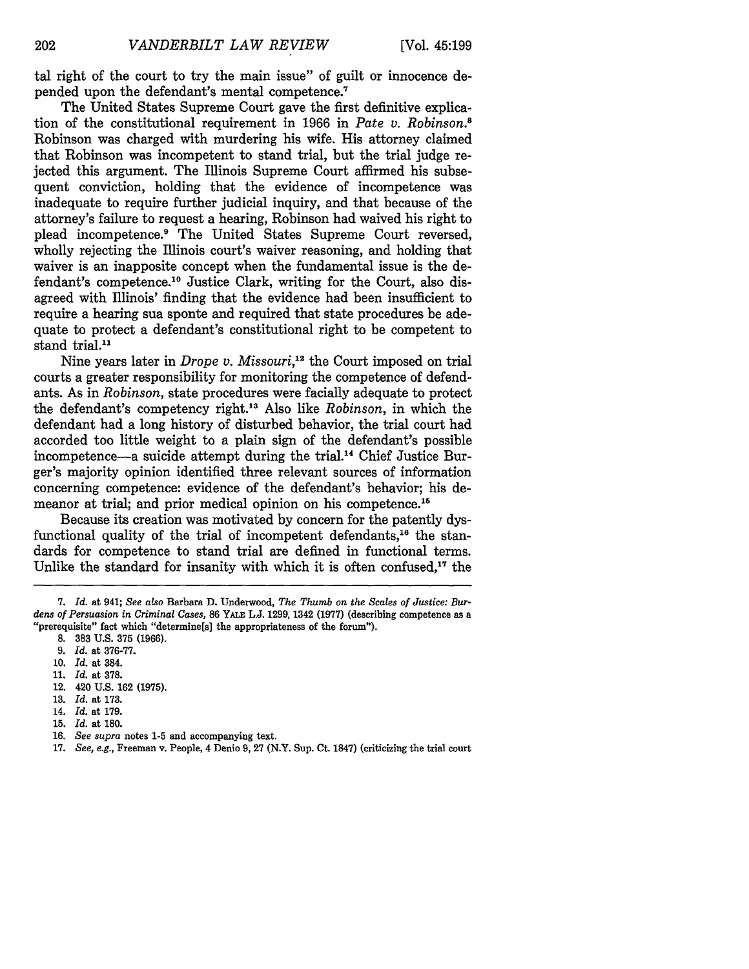tal right of the court to try the main issue" of guilt or innocence depended upon the defendant's mental competence.'

The United States Supreme Court gave the first definitive explication of the constitutional requirement in 1966 in *Pate v. Robinson.8* Robinson was charged with murdering his wife. His attorney claimed that Robinson was incompetent to stand trial, but the trial judge rejected this argument. The Illinois Supreme Court affirmed his subsequent conviction, holding that the evidence of incompetence was inadequate to require further judicial inquiry, and that because of the attorney's failure to request a hearing, Robinson had waived his right to plead incompetence.' The United States Supreme Court reversed, wholly rejecting the Illinois court's waiver reasoning, and holding that waiver is an inapposite concept when the fundamental issue is the defendant's competence. 10 Justice Clark, writing for the Court, also disagreed with Illinois' finding that the evidence had been insufficient to require a hearing sua sponte and required that state procedures be adequate to protect a defendant's constitutional right to be competent to stand trial.<sup>11</sup>

Nine years later in *Drope v. Missouri*,<sup>12</sup> the Court imposed on trial courts a greater responsibility for monitoring the competence of defendants. As in *Robinson,* state procedures were facially adequate to protect the defendant's competency right.13 Also like *Robinson,* in which the defendant had a long history of disturbed behavior, the trial court had accorded too little weight to a plain sign of the defendant's possible incompetence-a suicide attempt during the trial.14 Chief Justice Burger's majority opinion identified three relevant sources of information concerning competence: evidence of the defendant's behavior; his demeanor at trial; and prior medical opinion on his competence.<sup>15</sup>

Because its creation was motivated by concern for the patently dysfunctional quality of the trial of incompetent defendants, $16$  the standards for competence to stand trial are defined in functional terms. Unlike the standard for insanity with which it is often confused,<sup>17</sup> the

- 9. *Id.* at 376-77.
- **10.** *Id.* at 384.
- 11. *Id.* at 378.
- 12. 420 U.S. 162 (1975).
- 13. *Id.* at 173.
- 14. *Id.* at 179.
- **15.** *Id.* at 180.
- 16. *See supra* notes **1-5** and accompanying text.
- 17. *See, e.g.,* Freeman v. People, 4 Denio 9, 27 (N.Y. Sup. Ct. 1847) (criticizing the trial court

*<sup>7.</sup> Id.* at 941; *See also* Barbara D. Underwood, *The Thumb on the Scales of Justice: Burdens of Persuasion in Criminal Cases,* **86 YALE L.J. 1299,** 1342 **(1977)** (describing competence as a "prerequisite" fact which "determine[s] the appropriateness of the forum").

**<sup>8.</sup> 383** U.S. 375 (1966).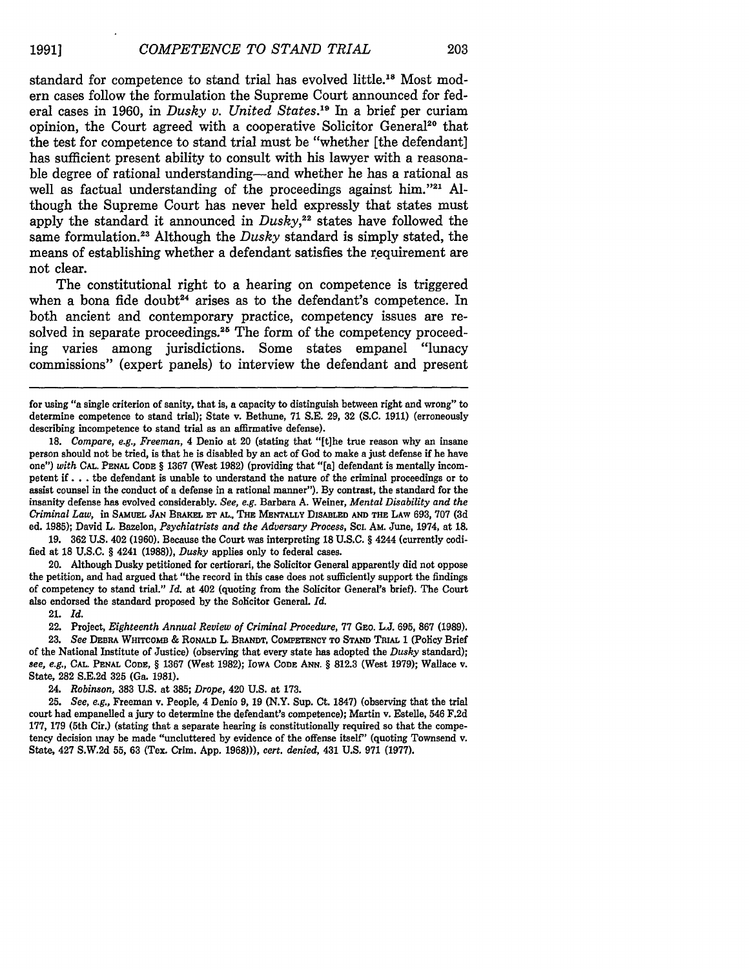standard for competence to stand trial has evolved little."8 Most modern cases follow the formulation the Supreme Court announced for federal cases in 1960, in *Dusky v. United States."'* In a brief per curiam opinion, the Court agreed with a cooperative Solicitor General<sup>20</sup> that the test for competence to stand trial must be "whether [the defendant] has sufficient present ability to consult with his lawyer with a reasonable degree of rational understanding-and whether he has a rational as well as factual understanding of the proceedings against him."21 Although the Supreme Court has never held expressly that states must apply the standard it announced in *Dusky*<sup>22</sup> states have followed the same formulation.2" Although the *Dusky* standard is simply stated, the means of establishing whether a defendant satisfies the requirement are not clear.

The constitutional right to a hearing on competence is triggered when a bona fide doubt<sup>24</sup> arises as to the defendant's competence. In both ancient and contemporary practice, competency issues are resolved in separate proceedings.<sup>25</sup> The form of the competency proceeding varies among jurisdictions. Some states empanel "lunacy commissions" (expert panels) to interview the defendant and present

for using "a single criterion of sanity, that is, a capacity to distinguish between right and wrong" to determine competence to stand trial); State v. Bethune, **71 S.E. 29, 32 (S.C. 1911)** (erroneously describing incompetence to stand trial as an affirmative defense).

**18.** *Compare, e.g., Freeman,* 4 Denio at 20 (stating that "[t]he true reason why an insane person should not be tried, is that he is disabled **by** an act of God to make a just defense if he have one") *with* **CAL. PENAL CODE** § **1367** (West **1982)** (providing that "[a] defendant is mentally incompetent **if.. .** the defendant is unable to understand the nature of the criminal proceedings or to assist counsel in the conduct of a defense in a rational manner"). **By** contrast, the standard for the insanity defense has evolved considerably. *See, e.g.* Barbara **A.** Weiner, *Mental Disability and the Criminal Law,* in **SAMUEL JAN** BRAKEL **ET AL., THE MENTALLY DISABLED AND THE LAW 693, 707 (3d** ed. **1985);** David L. Bazelon, *Psychiatrists and the Adversary Process,* Scr. AM. June, 1974, at **18.**

**19. 362 U.S.** 402 **(1960).** Because the Court was interpreting **18 U.S.C.** § 4244 (currently codified at **18 U.S.C.** § 4241 **(1988)),** *Dusky* applies only to federal cases.

20. Although Dusky petitioned for certiorari, the Solicitor General apparently did not oppose the petition, and had argued that "the record in this case does not sufficiently support the findings of competency to stand trial." *Id.* at 402 (quoting from the Solicitor General's brief). The Court also endorsed the standard proposed **by** the Solicitor General. *Id.*

21. *Id.*

22. Project, *Eighteenth Annual Review of Criminal Procedure,* 77 GEo. L.J. 695, **867** (1989).

**23.** *See* **DEBRA WHITCOMB &** RONALD L. BRANYr, **COMPETENCY TO STAND TRIAL 1** (Policy Brief of the National Institute of Justice) (observing that every state has adopted the *Dusky* standard); *see, e.g.,* **CAL. PENAL CODE,** § **1367** (West **1982); IOWA CODE ANN.** § **812.3** (West **1979);** Wallace v. State, **282 S.E.2d 325** (Ga. **1981).**

24. *Robinson,* **383 U.S.** at **385;** *Drope,* 420 **U.S.** at **173.**

25. *See, e.g.,* Freeman v. People, 4 Denio **9, 19** (N.Y. Sup. Ct. **1847)** (observing that the trial court had empanelled a jury to determine the defendant's competence); Martin v. Estelle, 546 **F.2d 177, 179** (5th Cir.) (stating that a separate hearing is constitutionally required so that the competency decision may be made "uncluttered **by** evidence of the offense itself" (quoting Townsend v. State, 427 **S.W.2d 55, 63** (Tex. Crim. **App. 1968))),** *cert. denied,* 431 **U.S. 971 (1977).**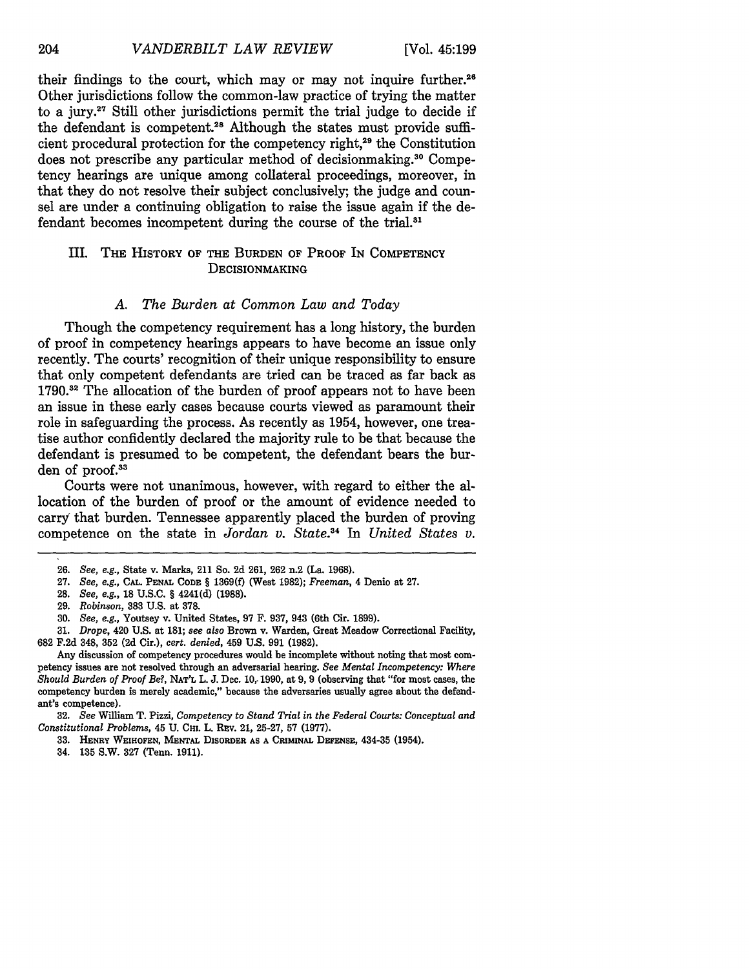their findings to the court, which may or may not inquire further.<sup>26</sup> Other jurisdictions follow the common-law practice of trying the matter to a jury.<sup>27</sup> Still other jurisdictions permit the trial judge to decide if the defendant is competent.<sup>28</sup> Although the states must provide sufficient procedural protection for the competency right,<sup>29</sup> the Constitution does not prescribe any particular method of decisionmaking.30 Competency hearings are unique among collateral proceedings, moreover, in that they do not resolve their subject conclusively; the judge and counsel are under a continuing obligation to raise the issue again if the defendant becomes incompetent during the course of the trial.<sup>31</sup>

# III. **THE HISTORY OF THE BURDEN** OF **PROOF IN COMPETENCY DECISIONMAKING**

#### *A. The Burden at Common Law and Today*

Though the competency requirement has a long history, the burden of proof in competency hearings appears to have become an issue only recently. The courts' recognition of their unique responsibility to ensure that only competent defendants are tried can be traced as far back as 1790.<sup>32</sup> The allocation of the burden of proof appears not to have been an issue in these early cases because courts viewed as paramount their role in safeguarding the process. As recently as 1954, however, one treatise author confidently declared the majority rule to be that because the defendant is presumed to be competent, the defendant bears the burden of proof.<sup>33</sup>

Courts were not unanimous, however, with regard to either the allocation of the burden of proof or the amount of evidence needed to carry that burden. Tennessee apparently placed the burden of proving competence on the state in *Jordan v. State.4* In *United States v.*

27. *See, e.g.,* CAL. **PENAL CODE** § **1369(f)** (West 1982); *Freeman,* 4 Denio at 27.

32. *See* William T. Pizzi, *Competency to Stand Trial in the Federal Courts: Conceptual and Constitutional Problems,* 45 U. **CHL** L. REv. 21, 25-27, 57 (1977).

34. **135** S.W. **327** (Tenn. **1911).**

204

**<sup>26.</sup>** *See, e.g.,* State v. Marks, 211 So. 2d 261, 262 n.2 (La. 1968).

**<sup>28.</sup>** *See, e.g.,* **18 U.S.C.** § 4241(d) (1988).

<sup>29.</sup> *Robinson,* **383** U.S. at 378.

<sup>30.</sup> *See, e.g.,* Youtsey v. United States, 97 F. 937, 943 (6th Cir. 1899).

**<sup>31.</sup>** *Drope,* 420 U.S. at 181; *see also* Brown v. Warden, Great Meadow Correctional Facility, 682 F.2d 348, **352** (2d Cir.), *cert. denied,* 459 U.S. 991 (1982).

Any discussion of competency procedures would be incomplete without noting that most competency issues are not resolved through an adversarial hearing. *See Mental Incompetency: Where Should Burden of Proof Be?,* **NAT'L** L. J. Dec. 10, 1990, at 9, 9 (observing that "for most cases, the competency burden is merely academic," because the adversaries usually agree about the defendant's competence).

**<sup>33.</sup> HENRY WEIHOFEN, MENTAL** DISORDER **AS A** CRIMINAL **DEFENSE,** 434-35 (1954).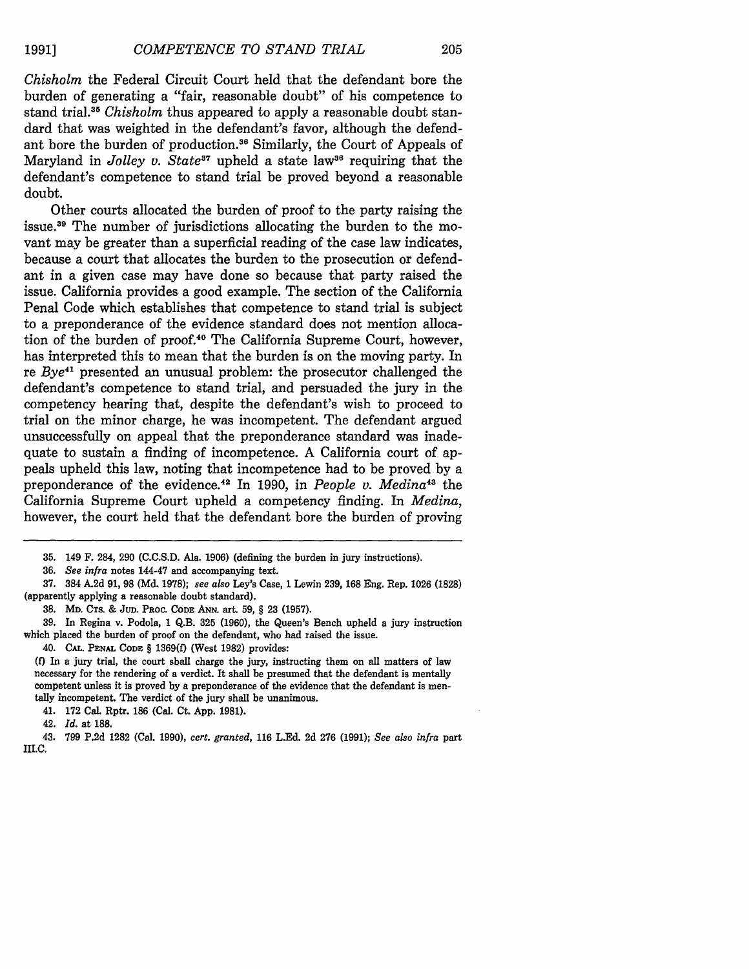*Chisholm* the Federal Circuit Court held that the defendant bore the burden of generating a "fair, reasonable doubt" of his competence to stand trial.<sup>35</sup> Chisholm thus appeared to apply a reasonable doubt standard that was weighted in the defendant's favor, although the defendant bore the burden of production.<sup>36</sup> Similarly, the Court of Appeals of Maryland in *Jolley v. State*<sup>37</sup> upheld a state law<sup>36</sup> requiring that the defendant's competence to stand trial be proved beyond a reasonable doubt.

Other courts allocated the burden of proof to the party raising the issue.39 The number of jurisdictions allocating the burden to the movant may be greater than a superficial reading of the case law indicates, because a court that allocates the burden to the prosecution or defendant in a given case may have done so because that party raised the issue. California provides a good example. The section of the California Penal Code which establishes that competence to stand trial is subject to a preponderance of the evidence standard does not mention allocation of the burden of proof.40 The California Supreme Court, however, has interpreted this to mean that the burden is on the moving party. In re *Bye<sup>41</sup>* presented an unusual problem: the prosecutor challenged the defendant's competence to stand trial, and persuaded the jury in the competency hearing that, despite the defendant's wish to proceed to trial on the minor charge, he was incompetent. The defendant argued unsuccessfully on appeal that the preponderance standard was inadequate to sustain a finding of incompetence. A California court of appeals upheld this law, noting that incompetence had to be proved by a preponderance of the evidence.<sup>42</sup> In 1990, in *People v. Medina*<sup>43</sup> the California Supreme Court upheld a competency finding. In *Medina,* however, the court held that the defendant bore the burden of proving

**36.** *See infra* notes 144-47 and accompanying text.

37. 384 A.2d 91, **98** (Md. 1978); *see also* Ley's Case, 1 Lewin 239, 168 Eng. Rep. 1026 (1828) (apparently applying a reasonable doubt standard).

**38.** MD. **CTS. & JUD.** PROC. **CODE** ANN. art. **59,** § **23 (1957).**

**39.** In Regina v. Podola, **1 Q.B. 325 (1960),** the Queen's Bench upheld a jury instruction which placed the burden of proof on the defendant, who had raised the issue.

41. **172** Cal. Rptr. **186** (Cal. **Ct. App. 1981).**

42. *Id.* at **188.**

43. **799 P.2d 1282** (Cal. **1990),** *cert. granted,* **116 L.Ed. 2d 276 (1991);** *See also infra* part III.C.

**<sup>35.</sup>** 149 F. 284, 290 **(C.C.S.D.** Ala. **1906)** (defining the burden in jury instructions).

<sup>40.</sup> **CAL. PENAL CODE** § **1369(f)** (West **1982)** provides:

**<sup>(</sup>f)** In a jury trial, the court shall charge the jury, instructing them on all matters of law necessary for the rendering of a verdict. It shall be presumed that the defendant is mentally competent unless it is proved **by** a preponderance of the evidence that the defendant is mentally incompetent. The verdict of the jury shall be unanimous.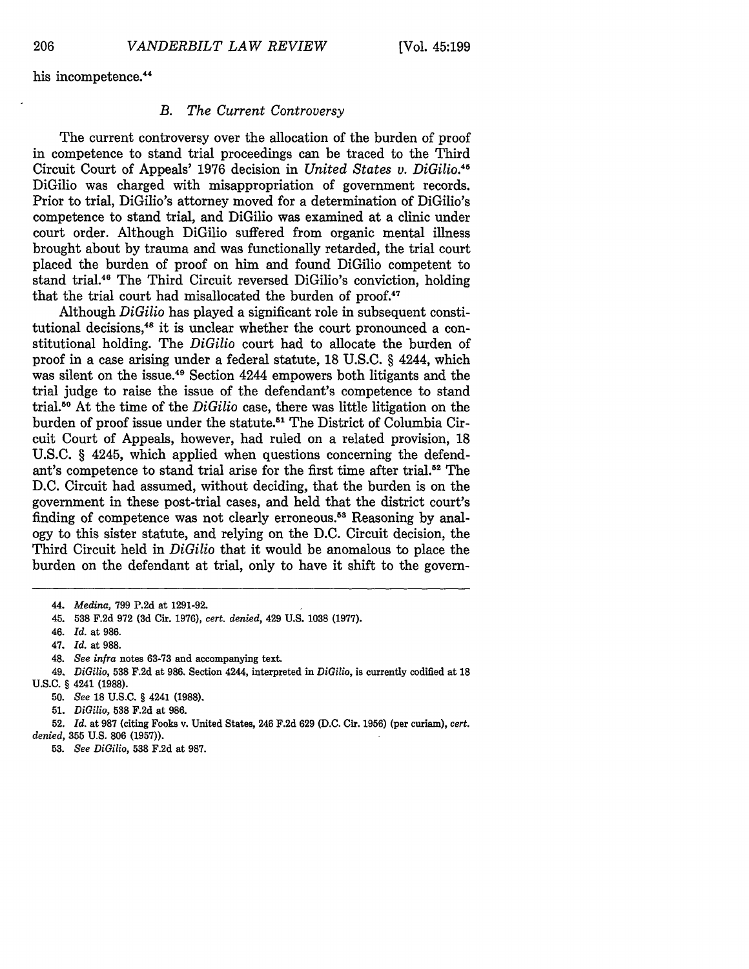his incompetence.<sup>44</sup>

#### *B. The Current Controversy*

The current controversy over the allocation of the burden of proof in competence to stand trial proceedings can be traced to the Third Circuit Court of Appeals' 1976 decision in *United States v. DiGilio.45* DiGilio was charged with misappropriation of government records. Prior to trial, DiGilio's attorney moved for a determination of DiGilio's competence to stand trial, and DiGilio was examined at a clinic under court order. Although DiGilio suffered from organic mental illness brought about by trauma and was functionally retarded, the trial court placed the burden of proof on him and found DiGilio competent to stand trial.46 The Third Circuit reversed DiGilio's conviction, holding that the trial court had misallocated the burden of proof.<sup>47</sup>

Although *DiGilio* has played a significant role in subsequent constitutional decisions, 48 it is unclear whether the court pronounced a constitutional holding. The *DiGilio* court had to allocate the burden of proof in a case arising under a federal statute, 18 U.S.C. § 4244, which was silent on the issue.49 Section 4244 empowers both litigants and the trial judge to raise the issue of the defendant's competence to stand trial.50 At the time of the *DiGilio* case, there was little litigation on the burden of proof issue under the statute.<sup>51</sup> The District of Columbia Circuit Court of Appeals, however, had ruled on a related provision, 18 U.S.C. § 4245, which applied when questions concerning the defendant's competence to stand trial arise for the first time after trial.<sup>52</sup> The D.C. Circuit had assumed, without deciding, that the burden is on the government in these post-trial cases, and held that the district court's finding of competence was not clearly erroneous.<sup>53</sup> Reasoning by analogy to this sister statute, and relying on the D.C. Circuit decision, the Third Circuit held in *DiGilio* that it would be anomalous to place the burden on the defendant at trial, only to have it shift to the govern-

48. *See infra* notes 63-73 and accompanying text.

52. *Id.* at 987 (citing Fooks v. United States, 246 F.2d 629 (D.C. Cir. 1956) (per curiam), *cert. denied,* 355 U.S. 806 (1957)).

53. *See DiGilio,* **538** F.2d at 987.

206

<sup>44.</sup> *Medina,* 799 P.2d at 1291-92.

<sup>45.</sup> **538 F.2d 972 (3d** Cir. **1976),** *cert. denied,* 429 **U.S. 1038 (1977).**

<sup>46.</sup> *Id.* at 986.

<sup>47.</sup> *Id.* at 988.

<sup>49.</sup> *DiGilio,* 538 F.2d at 986. Section 4244, interpreted in *DiGilio,* is currently codified at **<sup>18</sup>** U.S.C. § 4241 (1988).

<sup>50.</sup> *See* **18** U.S.C. § 4241 (1988).

<sup>51.</sup> *DiGilio,* 538 F.2d at 986.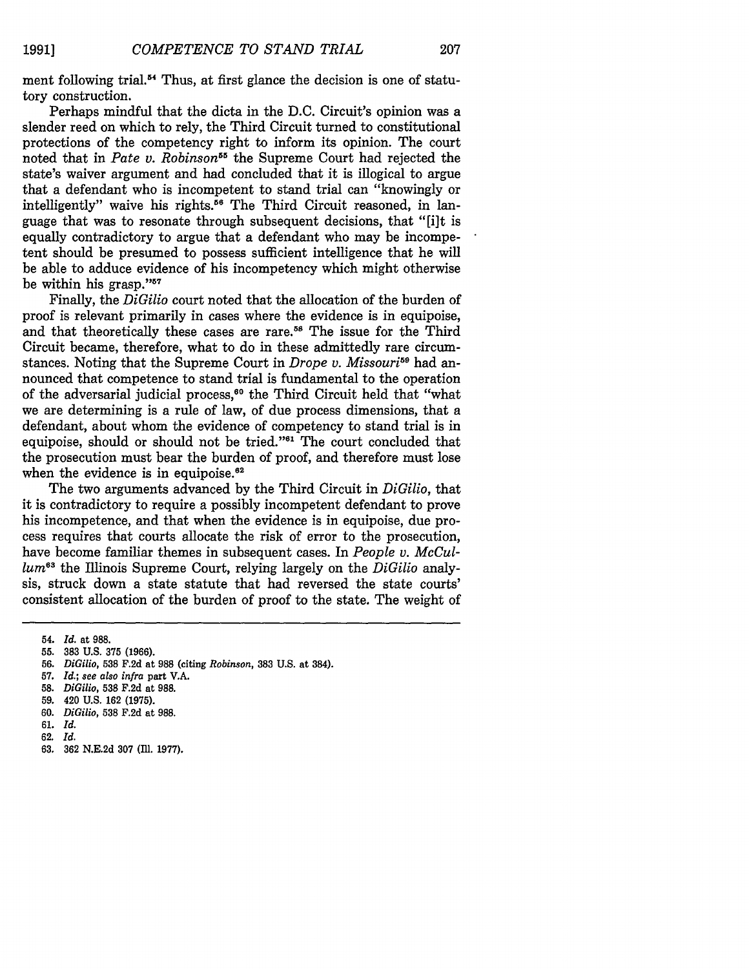ment following trial.<sup>54</sup> Thus, at first glance the decision is one of statutory construction.

Perhaps mindful that the dicta in the **D.C.** Circuit's opinion was a slender reed on which to rely, the Third Circuit turned to constitutional protections of the competency right to inform its opinion. The court noted that in *Pate v. Robinson*<sup>55</sup> the Supreme Court had rejected the state's waiver argument and had concluded that it is illogical to argue that a defendant who is incompetent to stand trial can "knowingly or intelligently" waive his rights.<sup>56</sup> The Third Circuit reasoned, in language that was to resonate through subsequent decisions, that "[i]t is equally contradictory to argue that a defendant who may be incompetent should be presumed to possess sufficient intelligence that he will be able to adduce evidence of his incompetency which might otherwise be within his grasp."<sup>57</sup>

Finally, the *DiGilio* court noted that the allocation of the burden of proof is relevant primarily in cases where the evidence is in equipoise, and that theoretically these cases are rare.<sup>58</sup> The issue for the Third Circuit became, therefore, what to do in these admittedly rare circumstances. Noting that the Supreme Court in *Drope v. Missouri*<sup>59</sup> had announced that competence to stand trial is fundamental to the operation of the adversarial judicial process,<sup>60</sup> the Third Circuit held that "what we are determining is a rule of law, of due process dimensions, that a defendant, about whom the evidence of competency to stand trial is in equipoise, should or should not be tried."<sup>61</sup> The court concluded that the prosecution must bear the burden of proof, and therefore must lose when the evidence is in equipoise. $62$ 

The two arguments advanced **by** the Third Circuit in *DiGilio,* that it is contradictory to require a possibly incompetent defendant to prove his incompetence, and that when the evidence is in equipoise, due process requires that courts allocate the risk of error to the prosecution, have become familiar themes in subsequent cases. In *People v. McCul-Ium<sup>6</sup>*the Illinois Supreme Court, relying largely on the *DiGilio* analysis, struck down a state statute that had reversed the state courts' consistent allocation of the burden of proof to the state. The weight of

- 55. 383 U.S. 375 (1966).
- 56. *DiGilio,* **538** F.2d at **988** (citing *Robinson,* 383 U.S. at 384).
- **57.** *Id.; see also infra* part V.A.
- **58.** *DiGilio,* **538** F.2d at 988.
- 59. 420 **U.S.** 162 (1975).
- 60. *DiGilio,* **538** F.2d at **988.**
- 61. *Id.*
- **62.** *Id.*
- 63. 362 N.E.2d 307 (fI. 1977).

<sup>54.</sup> *Id.* at **988.**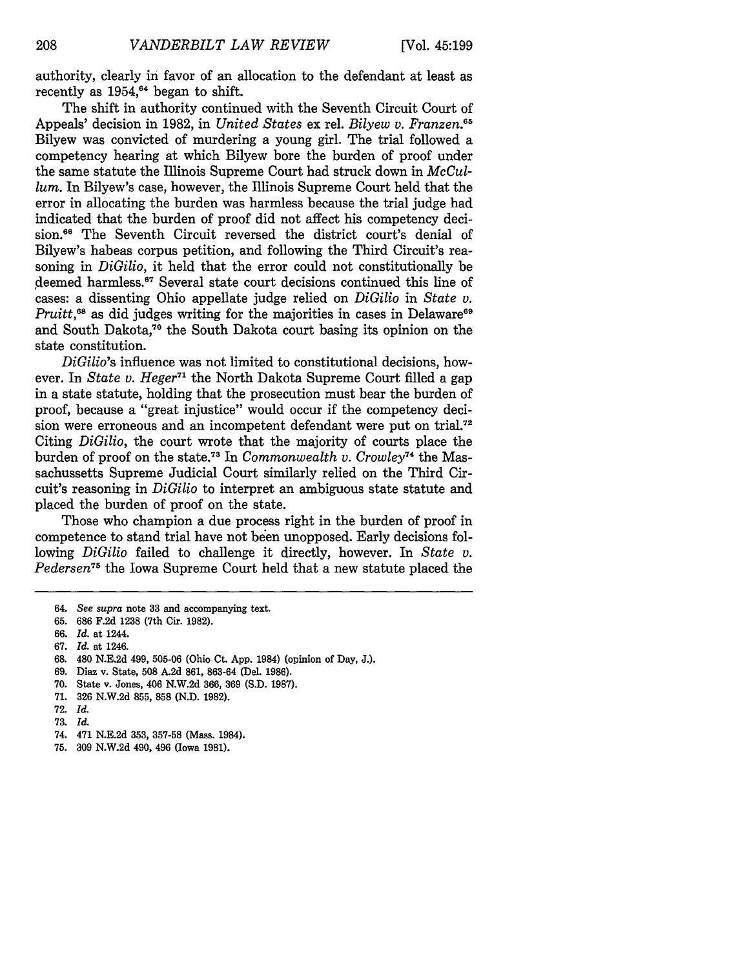authority, clearly in favor of an allocation to the defendant at least as recently as  $1954$ ,<sup>64</sup> began to shift.

The shift in authority continued with the Seventh Circuit Court of Appeals' decision in 1982, in *United States* ex rel. *Bilyew v. Franzen.6 <sup>5</sup>* Bilyew was convicted of murdering a young girl. The trial followed a competency hearing at which Bilyew bore the burden of proof under the same statute the Illinois Supreme Court had struck down in *McCullum.* In Bilyew's case, however, the Illinois Supreme Court held that the error in allocating the burden was harmless because the trial judge had indicated that the burden of proof did not affect his competency decision.<sup>66</sup> The Seventh Circuit reversed the district court's denial of Bilyew's habeas corpus petition, and following the Third Circuit's reasoning in *DiGilio,* it held that the error could not constitutionally be deemed harmless.<sup>87</sup> Several state court decisions continued this line of cases: a dissenting Ohio appellate judge relied on *DiGilio* in *State v. Pruitt*,<sup>68</sup> as did judges writing for the majorities in cases in Delaware<sup>69</sup> and South Dakota,<sup>70</sup> the South Dakota court basing its opinion on the state constitution.

*DiGilio's* influence was not limited to constitutional decisions, however. In *State v. Heger*<sup>11</sup> the North Dakota Supreme Court filled a gap in a state statute, holding that the prosecution must bear the burden of proof, because a "great injustice" would occur if the competency decision were erroneous and an incompetent defendant were put on trial.<sup>72</sup> Citing *DiGilio,* the court wrote that the majority of courts place the burden of proof on the state.<sup>73</sup> In *Commonwealth v. Crowley*<sup>74</sup> the Massachussetts Supreme Judicial Court similarly relied on the Third Circuit's reasoning in *DiGilio* to interpret an ambiguous state statute and placed the burden of proof on the state.

Those who champion a due process right in the burden of proof in competence to stand trial have not been unopposed. Early decisions following *DiGilio* failed to challenge it directly, however. In *State v. Pedersen75* the Iowa Supreme Court held that a new statute placed the

74. 471 **N.E.2d** 353, **357-58** (Mass. 1984).

<sup>64.</sup> *See supra* note **33** and accompanying text.

<sup>65. 686</sup> F.2d 1238 (7th Cir. 1982).

<sup>66.</sup> *Id.* at 1244.

<sup>67.</sup> *Id.* at 1246.

<sup>68. 480</sup> N.E.2d 499, 505-06 (Ohio Ct. App. 1984) (opinion of Day, J.).

<sup>69.</sup> Diaz v. State, **508** A.2d 861, 863-64 (Del. 1986).

<sup>70.</sup> State v. Jones, 406 N.W.2d 366, **369** (S.D. 1987).

<sup>71. 326</sup> N.W.2d 855, 858 (N.D. 1982).

<sup>72.</sup> *Id.*

<sup>73.</sup> *Id.*

<sup>75.</sup> **309** N.W.2d 490, 496 (Iowa 1981).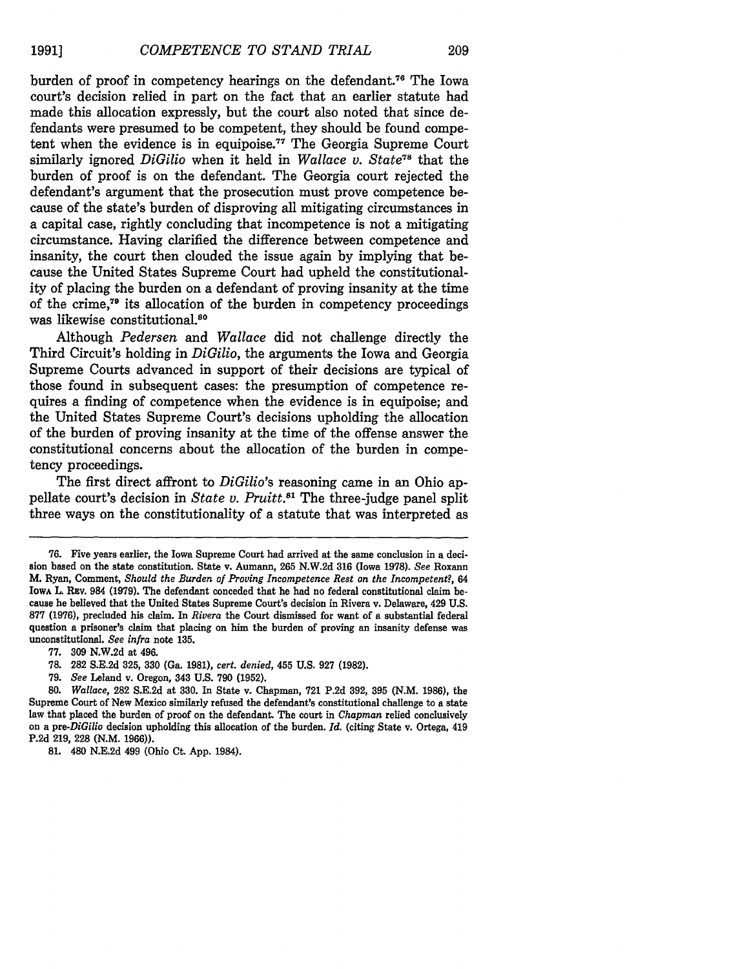burden of proof in competency hearings on the defendant.<sup>76</sup> The Iowa court's decision relied in part on the fact that an earlier statute had made this allocation expressly, but the court also noted that since defendants were presumed to be competent, they should be found competent when the evidence is in equipoise.77 The Georgia Supreme Court similarly ignored *DiGilio* when it held in *Wallace v. State78* that the burden of proof is on the defendant. The Georgia court rejected the defendant's argument that the prosecution must prove competence because of the state's burden of disproving all mitigating circumstances in a capital case, rightly concluding that incompetence is not a mitigating circumstance. Having clarified the difference between competence and insanity, the court then clouded the issue again **by** implying that because the United States Supreme Court had upheld the constitutionality of placing the burden on a defendant of proving insanity at the time of the crime, $79$  its allocation of the burden in competency proceedings was likewise constitutional.<sup>80</sup>

Although *Pedersen and Wallace* did not challenge directly the Third Circuit's holding in *DiGilio,* the arguments the Iowa and Georgia Supreme Courts advanced in support of their decisions are typical of those found in subsequent cases: the presumption of competence requires a finding of competence when the evidence is in equipoise; and the United States Supreme Court's decisions upholding the allocation of the burden of proving insanity at the time of the offense answer the constitutional concerns about the allocation of the burden in competency proceedings.

The first direct affront to *DiGilio's* reasoning came in an Ohio appellate court's decision in *State v. Pruitt.81* The three-judge panel split three ways on the constitutionality of a statute that was interpreted as

77. 309 N.W.2d at 496.

79. *See* Leland v. Oregon, 343 U.S. 790 (1952).

**81.** 480 N.E.2d 499 (Ohio Ct. App. 1984).

**<sup>76.</sup>** Five years earlier, the Iowa Supreme Court had arrived at the same conclusion in a decision based on the state constitution. State v. Aumann, **265 N.W.2d 316** (Iowa **1978).** *See* Roxann M. Ryan, Comment, *Should the Burden of Proving Incompetence Rest on the Incompetent?,* 64 IowA L. REv. 984 (1979). The defendant conceded that he had no federal constitutional claim because he believed that the United States Supreme Court's decision in Rivera v. Delaware, 429 U.S. **877** (1976), precluded his claim. In *Rivera* the Court dismissed for want of a substantial federal question a prisoner's claim that placing on him the burden of proving an insanity defense was unconstitutional. *See infra* note 135.

**<sup>78. 282</sup>** S.E.2d 325, 330 (Ga. 1981), *cert. denied,* 455 U.S. 927 (1982).

*<sup>80.</sup> Wallace,* **282** S.E.2d at 330. In State v. Chapman, 721 P.2d 392, 395 (N.M. 1986), the Supreme Court of New Mexico similarly refused the defendant's constitutional challenge to a state law that placed the burden of proof on the defendant. The court in *Chapman* relied conclusively on a *pre-DiGilio* decision upholding this allocation of the burden. *Id.* (citing State v. Ortega, 419 **P.2d** 219, **228 (N.M. 1966)).**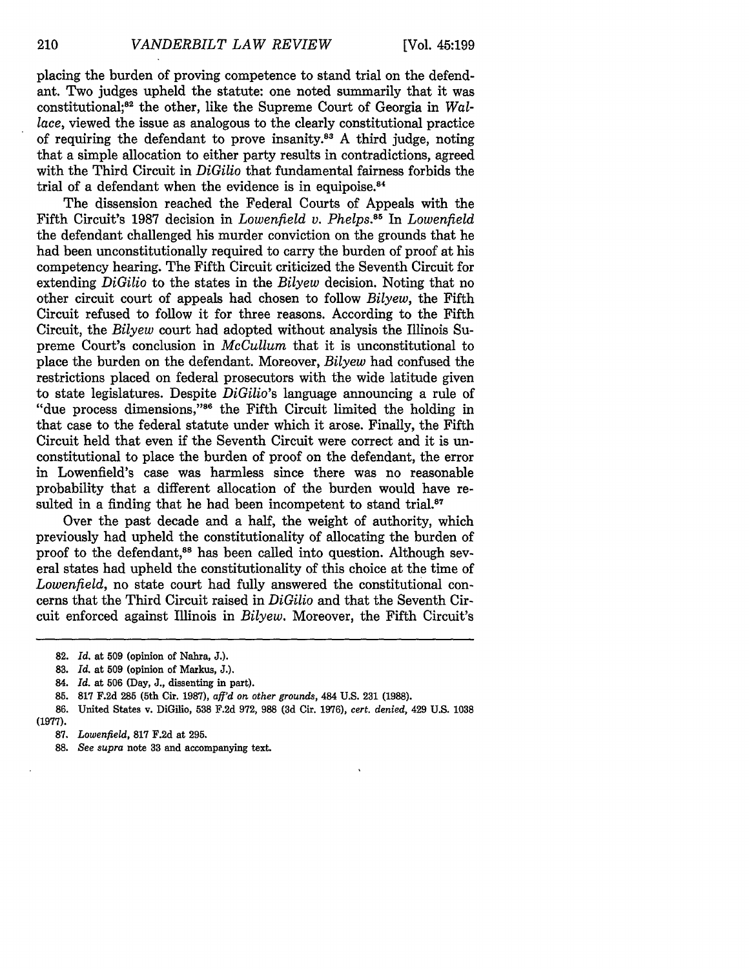placing the burden of proving competence to stand trial on the defendant. Two judges upheld the statute: one noted summarily that it was constitutional;<sup>32</sup> the other, like the Supreme Court of Georgia in *Wallace,* viewed the issue as analogous to the clearly constitutional practice of requiring the defendant to prove insanity.83 A third judge, noting that a simple allocation to either party results in contradictions, agreed with the Third Circuit in *DiGilio* that fundamental fairness forbids the trial of a defendant when the evidence is in equipoise. $84$ 

The dissension reached the Federal Courts of Appeals with the Fifth Circuit's 1987 decision in *Lowenfield v. Phelps.8 <sup>5</sup>*In *Lowenfield* the defendant challenged his murder conviction on the grounds that he had been unconstitutionally required to carry the burden of proof at his competency hearing. The Fifth Circuit criticized the Seventh Circuit for extending *DiGilio* to the states in the *Bilyew* decision. Noting that no other circuit court of appeals had chosen to follow *Bilyew,* the Fifth Circuit refused to follow it for three reasons. According to the Fifth Circuit, the *Bilyew* court had adopted without analysis the Illinois Supreme Court's conclusion in *McCullum* that it is unconstitutional to place the burden on the defendant. Moreover, *Bilyew* had confused the restrictions placed on federal prosecutors with the wide latitude given to state legislatures. Despite *DiGilio's* language announcing a rule of "due process dimensions," $86$  the Fifth Circuit limited the holding in that case to the federal statute under which it arose. Finally, the Fifth Circuit held that even if the Seventh Circuit were correct and it is unconstitutional to place the burden of proof on the defendant, the error in Lowenfield's case was harmless since there was no reasonable probability that a different allocation of the burden would have resulted in a finding that he had been incompetent to stand trial.<sup>87</sup>

Over the past decade and a half, the weight of authority, which previously had upheld the constitutionality of allocating the burden of proof to the defendant.<sup>88</sup> has been called into question. Although several states had upheld the constitutionality of this choice at the time of *Lowenfield,* no state court had fully answered the constitutional concerns that the Third Circuit raised in *DiGilio* and that the Seventh Circuit enforced against Illinois in *Bilyew.* Moreover, the Fifth Circuit's

**<sup>82.</sup>** *Id.* at **509** (opinion of Nahra, **J.).**

**<sup>83.</sup>** *Id.* at 509 (opinion of Markus, J.).

<sup>84.</sup> *Id.* at 506 (Day, J., dissenting in part).

<sup>85.</sup> **817** F.2d 285 (5th Cir. 1987), *aff'd on other grounds,* 484 U.S. 231 (1988).

<sup>86.</sup> United States v. DiGilio, **538** F.2d 972, 988 **(3d** Cir. 1976), *cert. denied,* 429 U.S. 1038 (1977).

<sup>87.</sup> *Lowenfield,* **817** F.2d at 295.

<sup>88.</sup> *See supra* note **33** and accompanying text.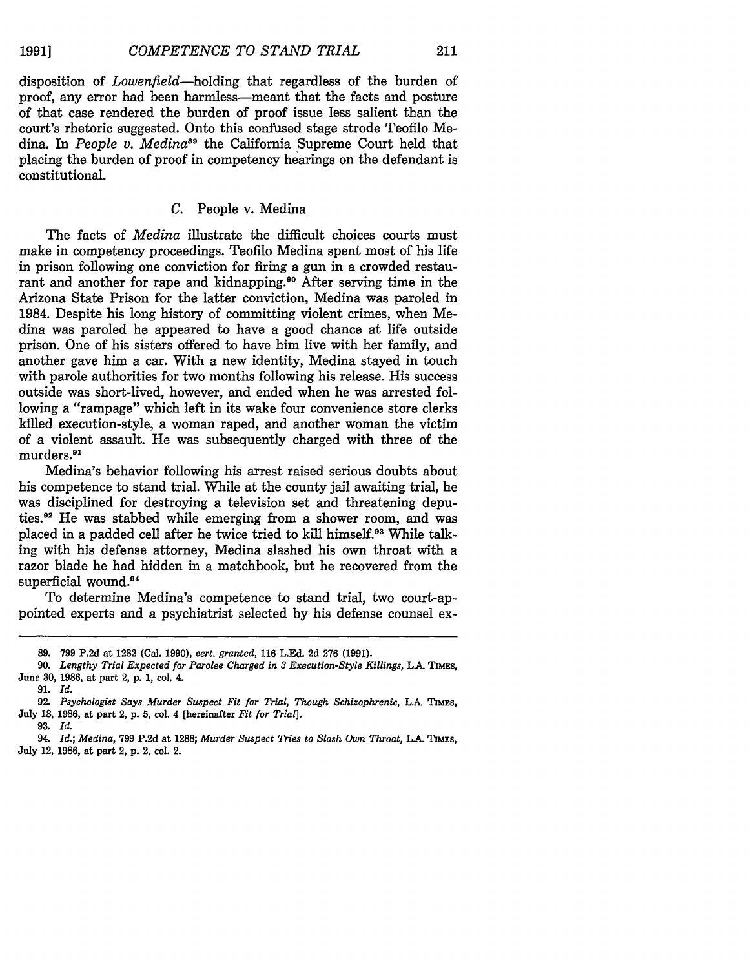**1991]**

disposition of *Lowenfield-holding* that regardless of the burden of proof, any error had been harmless-meant that the facts and posture of that case rendered the burden of proof issue less salient than the court's rhetoric suggested. Onto this confused stage strode Teofilo Medina. In *People v. Medina*<sup>89</sup> the California Supreme Court held that placing the burden of proof in competency hearings on the defendant is constitutional.

#### *C.* People v. Medina

The facts of *Medina* illustrate the difficult choices courts must make in competency proceedings. Teofilo Medina spent most of his life in prison following one conviction for firing a gun in a crowded restaurant and another for rape and kidnapping.<sup>90</sup> After serving time in the Arizona State Prison for the latter conviction, Medina was paroled in 1984. Despite his long history of committing violent crimes, when Medina was paroled he appeared to have a good chance at life outside prison. One of his sisters offered to have him live with her family, and another gave him a car. With a new identity, Medina stayed in touch with parole authorities for two months following his release. His success outside was short-lived, however, and ended when he was arrested following a "rampage" which left in its wake four convenience store clerks killed execution-style, a woman raped, and another woman the victim of a violent assault. He was subsequently charged with three of the murders.<sup>91</sup>

Medina's behavior following his arrest raised serious doubts about his competence to stand trial. While at the county jail awaiting trial, he was disciplined for destroying a television set and threatening deputies.<sup>92</sup> He was stabbed while emerging from a shower room, and was placed in a padded cell after he twice tried to kill himself.<sup>93</sup> While talking with his defense attorney, Medina slashed his own throat with a razor blade he had hidden in a matchbook, but he recovered from the superficial wound.<sup>94</sup>

To determine Medina's competence to stand trial, two court-appointed experts and a psychiatrist selected by his defense counsel ex-

**<sup>89.</sup>** 799 P.2d at 1282 (Cal. 1990), *cert. granted,* 116 L.Ed. 2d 276 (1991).

**<sup>90.</sup>** *Lengthy Trial Expected for Parolee Charged in 3 Execution-Style Killings,* **LA TIMES,** June **30,** 1986, at part 2, p. 1, col. 4.

<sup>91.</sup> *Id.*

**<sup>92.</sup>** *Psychologist Says Murder Suspect Fit for Trial, Though Schizophrenic,* **LA TIMES,** July 18, **1986,** at part 2, p. **5,** col. 4 [hereinafter *Fit for Trial].*

<sup>93.</sup> *Id.*

<sup>94.</sup> *Id.; Medina,* 799 P.2d at 1288; *Murder Suspect Tries to Slash Own Throat,* LA TIMs, July 12, 1986, at part 2, p. 2, col. 2.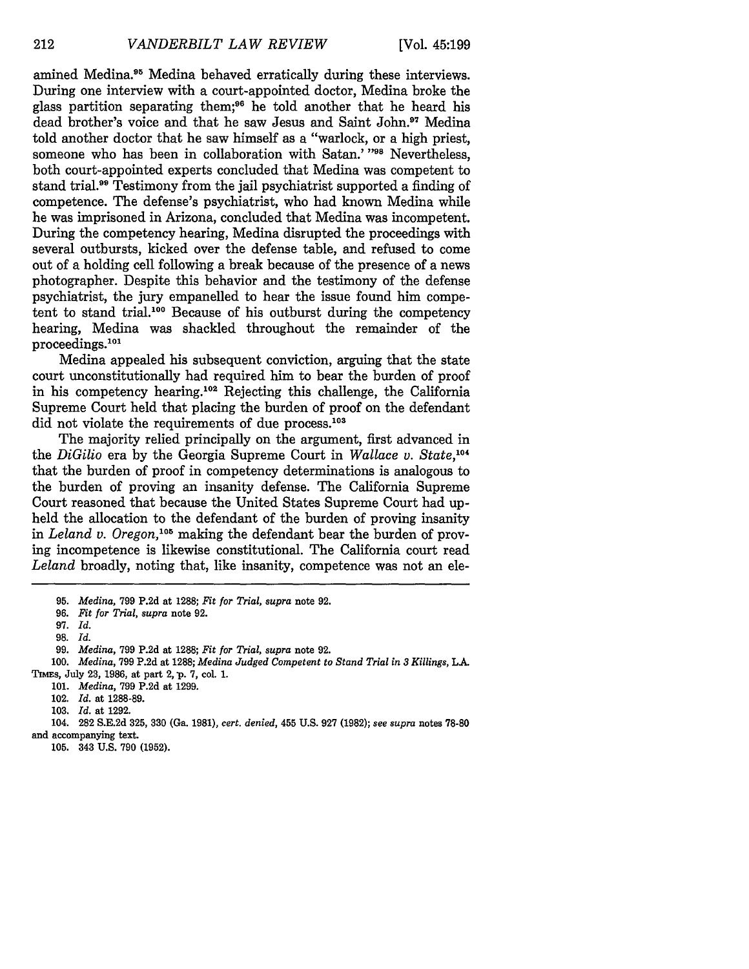amined Medina.<sup>95</sup> Medina behaved erratically during these interviews. During one interview with a court-appointed doctor, Medina broke the glass partition separating them;<sup>96</sup> he told another that he heard his dead brother's voice and that he saw Jesus and Saint John.<sup>97</sup> Medina told another doctor that he saw himself as a "warlock, or a high priest, someone who has been in collaboration with Satan.' "<sup>98</sup> Nevertheless, both court-appointed experts concluded that Medina was competent to stand trial.<sup>99</sup> Testimony from the jail psychiatrist supported a finding of competence. The defense's psychiatrist, who had known Medina while he was imprisoned in Arizona, concluded that Medina was incompetent. During the competency hearing, Medina disrupted the proceedings with several outbursts, kicked over the defense table, and refused to come out of a holding cell following a break because of the presence of a news photographer. Despite this behavior and the testimony of the defense psychiatrist, the jury empanelled to hear the issue found him competent to stand trial.<sup>100</sup> Because of his outburst during the competency hearing, Medina was shackled throughout the remainder of the proceedings.10'

Medina appealed his subsequent conviction, arguing that the state court unconstitutionally had required him to bear the burden of proof in his competency hearing.<sup>102</sup> Rejecting this challenge, the California Supreme Court held that placing the burden of proof on the defendant did not violate the requirements of due process.<sup>103</sup>

The majority relied principally on the argument, first advanced in the *DiGilio* era by the Georgia Supreme Court in *Wallace v. State,'04* that the burden of proof in competency determinations is analogous to the burden of proving an insanity defense. The California Supreme Court reasoned that because the United States Supreme Court had upheld the allocation to the defendant of the burden of proving insanity in *Leland v. Oregon*,<sup>105</sup> making the defendant bear the burden of proving incompetence is likewise constitutional. The California court read *Leland* broadly, noting that, like insanity, competence was not an ele-

100. *Medina,* 799 P.2d at 1288; *Medina Judged Competent to Stand Trial in 3 Killings, LA.* TmEs, July 23, 1986, at part 2, **p.** 7, col. 1.

- 101. *Medina,* 799 P.2d at 1299.
- 102. *Id.* at 1288-89.
- 103. *Id.* at 1292.

104. 282 S.E.2d 325, 330 (Ga. 1981), *cert. denied,* 455 U.S. 927 (1982); *see supra* notes 78-80

and accompanying text.

105. 343 U.S. 790 (1952).

**<sup>95.</sup>** *Medina,* **799 P.2d** at 1288; *Fit for Trial, supra* note **92.**

<sup>96.</sup> *Fit for Trial, supra* note **92.**

<sup>97.</sup> *Id.*

**<sup>98.</sup>** *Id.*

<sup>99.</sup> *Medina,* 799 P.2d at 1288; *Fit for Trial, supra* note 92.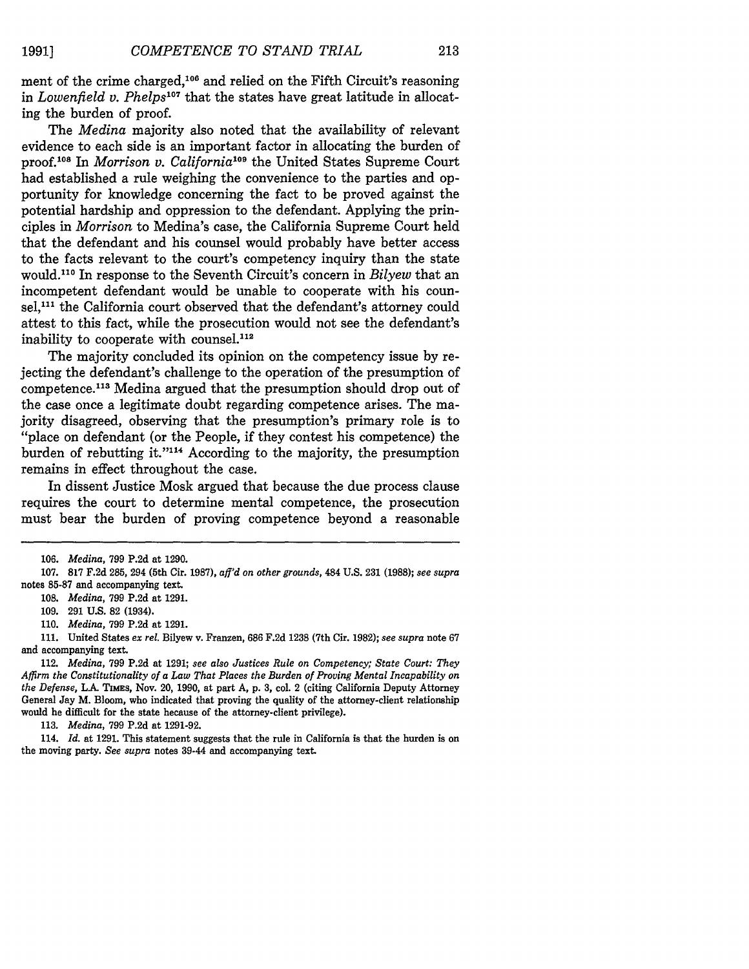ment of the crime charged,<sup>106</sup> and relied on the Fifth Circuit's reasoning in *Lowenfield v. Phelps*<sup>107</sup> that the states have great latitude in allocating the burden of proof.

The *Medina* majority also noted that the availability of relevant evidence to each side is an important factor in allocating the burden of proof.<sup>108</sup> In *Morrison v. California*<sup>109</sup> the United States Supreme Court had established a rule weighing the convenience to the parties and opportunity for knowledge concerning the fact to be proved against the potential hardship and oppression to the defendant. Applying the principles in *Morrison* to Medina's case, the California Supreme Court held that the defendant and his counsel would probably have better access to the facts relevant to the court's competency inquiry than the state would. 110 In response to the Seventh Circuit's concern in *Bilyew* that an incompetent defendant would be unable to cooperate with his counsel,<sup>111</sup> the California court observed that the defendant's attorney could attest to this fact, while the prosecution would not see the defendant's inability to cooperate with counsel.<sup>112</sup>

The majority concluded its opinion on the competency issue by rejecting the defendant's challenge to the operation of the presumption of competence.<sup>113</sup> Medina argued that the presumption should drop out of the case once a legitimate doubt regarding competence arises. The majority disagreed, observing that the presumption's primary role is to "place on defendant (or the People, if they contest his competence) the burden of rebutting it."<sup>114</sup> According to the majority, the presumption remains in effect throughout the case.

In dissent Justice Mosk argued that because the due process clause requires the court to determine mental competence, the prosecution must bear the burden of proving competence beyond a reasonable

113. *Medina,* 799 P.2d at 1291-92.

114. *Id.* at 1291. This statement suggests that the rule in California is that the burden is on the moving party. *See supra* notes 39-44 and accompanying text.

<sup>106.</sup> *Medina,* 799 P.2d at 1290.

<sup>107.</sup> **817** F.2d 285, 294 (5th Cir. 1987), *aff'd on other grounds,* 484 U.S. 231 (1988); *see supra* notes **85-87** and accompanying text.

<sup>108.</sup> *Medina,* 799 P.2d at 1291.

<sup>109. 291</sup> U.S. 82 (1934).

<sup>110.</sup> *Medina,* 799 P.2d at 1291.

<sup>111.</sup> United States *ex rel.* Bilyew v. Franzen, 686 F.2d 1238 (7th Cir. 1982); *see supra* note 67 and accompanying text.

<sup>112.</sup> *Medina,* 799 P.2d at 1291; *see also Justices Rule on Competency; State Court: They Affirm the Constitutionality of a Law That Places the Burden of Proving Mental Incapability on the Defense,* LA **TIMES,** Nov. 20, 1990, at part A, p. 3, col. 2 (citing California Deputy Attorney General Jay M. Bloom, who indicated that proving the quality of the attorney-client relationship would be difficult for the state because of the attorney-client privilege).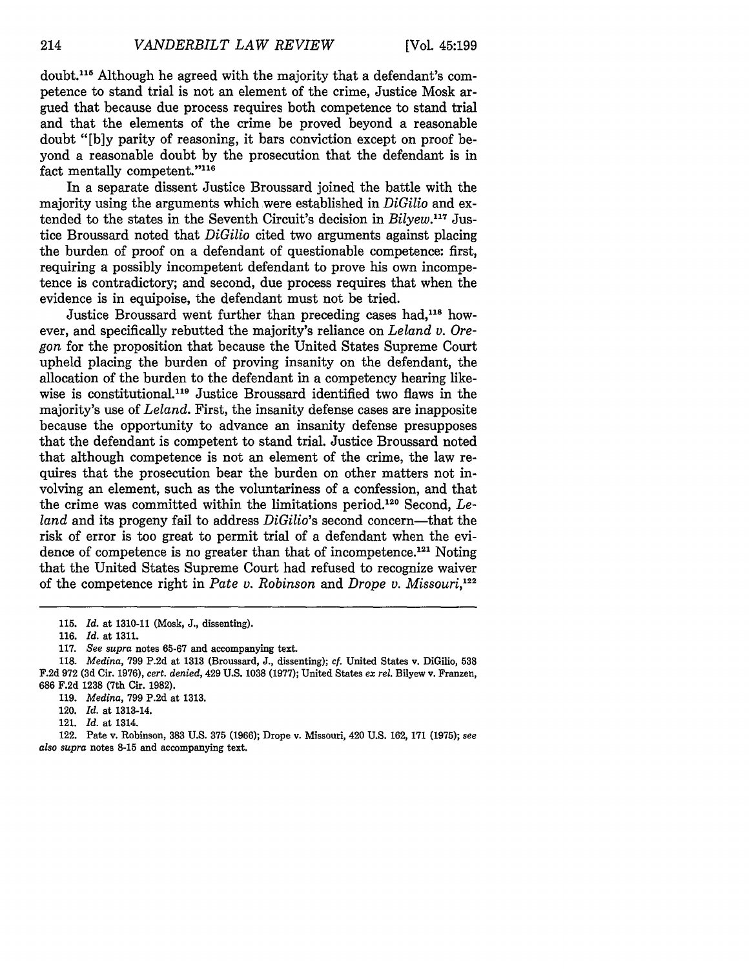doubt.115 Although he agreed with the majority that a defendant's competence to stand trial is not an element of the crime, Justice Mosk argued that because due process requires both competence to stand trial and that the elements of the crime be proved beyond a reasonable doubt "[b]y parity of reasoning, it bars conviction except on proof beyond a reasonable doubt by the prosecution that the defendant is in fact mentally competent."<sup>116</sup>

In a separate dissent Justice Broussard joined the battle with the majority using the arguments which were established in *DiGilio* and extended to the states in the Seventh Circuit's decision in *Bilyew*.<sup>117</sup> Justice Broussard noted that *DiGilio* cited two arguments against placing the burden of proof on a defendant of questionable competence: first, requiring a possibly incompetent defendant to prove his own incompetence is contradictory; and second, due process requires that when the evidence is in equipoise, the defendant must not be tried.

Justice Broussard went further than preceding cases had,<sup>118</sup> however, and specifically rebutted the majority's reliance on *Leland v. Oregon* for the proposition that because the United States Supreme Court upheld placing the burden of proving insanity on the defendant, the allocation of the burden to the defendant in a competency hearing likewise is constitutional.<sup>119</sup> Justice Broussard identified two flaws in the majority's use of *Leland.* First, the insanity defense cases are inapposite because the opportunity to advance an insanity defense presupposes that the defendant is competent to stand trial. Justice Broussard noted that although competence is not an element of the crime, the law requires that the prosecution bear the burden on other matters not involving an element, such as the voluntariness of a confession, and that the crime was committed within the limitations period.<sup>120</sup> Second, Le*land* and its progeny fail to address *DiGilio's* second concern-that the risk of error is too great to permit trial of a defendant when the evidence of competence is no greater than that of incompetence.<sup>121</sup> Noting that the United States Supreme Court had refused to recognize waiver of the competence right in *Pate v. Robinson* and *Drope v. Missouri*,<sup>122</sup>

120. *Id.* at 1313-14.

122. Pate v. Robinson, 383 U.S. 375 (1966); Drope v. Missouri, 420 U.S. 162, 171 (1975); *see also supra* notes 8-15 and accompanying text.

<sup>115.</sup> *Id.* at 1310-11 (Mosk, J., dissenting).

<sup>116.</sup> *Id.* at 1311.

<sup>117.</sup> *See supra* notes 65-67 and accompanying text.

<sup>118.</sup> *Medina,* 799 P.2d at 1313 (Broussard, J., dissenting); *cf.* United States v. DiGilio, 538 F.2d 972 (3d Cir. 1976), *cert. denied,* 429 U.S. 1038 (1977); United States *ex rel.* Bilyew v. Franzen, 686 F.2d 1238 (7th Cir. 1982).

<sup>119.</sup> *Medina,* 799 P.2d at 1313.

<sup>121.</sup> *Id.* at 1314.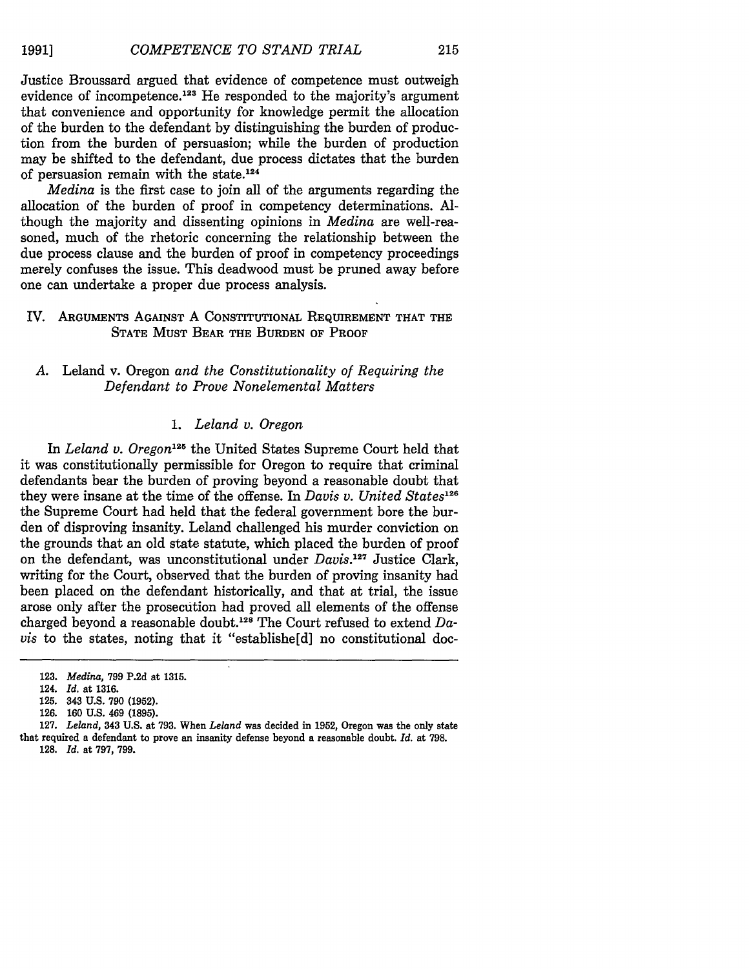Justice Broussard argued that evidence of competence must outweigh evidence of incompetence.<sup>123</sup> He responded to the majority's argument that convenience and opportunity for knowledge permit the allocation of the burden to the defendant **by** distinguishing the burden of production from the burden of persuasion; while the burden of production may be shifted to the defendant, due process dictates that the burden of persuasion remain with the state.<sup>124</sup>

*Medina* is the first case to join all of the arguments regarding the allocation of the burden of proof in competency determinations. **Al**though the majority and dissenting opinions in *Medina* are well-reasoned, much of the rhetoric concerning the relationship between the due process clause and the burden of proof in competency proceedings merely confuses the issue. This deadwood must be pruned away before one can undertake a proper due process analysis.

#### IV. ARGUMENTS AGAINST A **CONSTITUTIONAL** REQUIREMENT THAT THE **STATE MUST** BEAR THE BURDEN OF PROOF

## *A.* Leland v. Oregon *and the Constitutionality of Requiring the Defendant to Prove Nonelemental Matters*

#### *1. Leland v. Oregon*

In *Leland v. Oregon125* the United States Supreme Court held that it was constitutionally permissible for Oregon to require that criminal defendants bear the burden of proving beyond a reasonable doubt that they were insane at the time of the offense. In *Davis v. United States <sup>26</sup>* the Supreme Court had held that the federal government bore the burden of disproving insanity. Leland challenged his murder conviction on the grounds that an old state statute, which placed the burden of proof on the defendant, was unconstitutional under *Davis.27* Justice Clark, writing for the Court, observed that the burden of proving insanity had been placed on the defendant historically, and that at trial, the issue arose only after the prosecution had proved all elements of the offense charged beyond a reasonable doubt.<sup>128</sup> The Court refused to extend *Davis* to the states, noting that it "establishe[d] no constitutional doc-

**<sup>123.</sup>** *Medina,* **799 P.2d** at **1315.**

<sup>124.</sup> *Id.* at 1316.

<sup>125. 343</sup> U.S. 790 (1952).

<sup>126. 160</sup> **U.S.** 469 **(1895).**

<sup>127.</sup> *Leland,* 343 U.S. at 793. When *Leland* was decided in 1952, Oregon was the only state that required a defendant to prove an insanity defense beyond a reasonable doubt. *Id.* at 798. 128. *Id.* at 797, 799.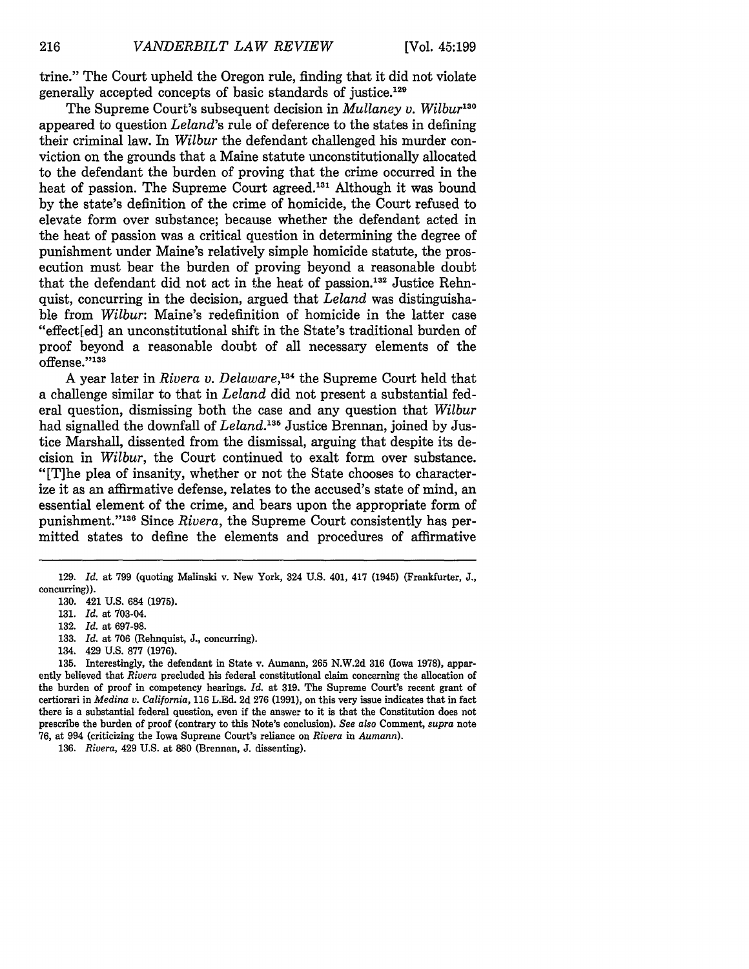trine." The Court upheld the Oregon rule, finding that it did not violate generally accepted concepts of basic standards of justice.<sup>129</sup>

The Supreme Court's subsequent decision in *Mullaney v. Wilbur'30* appeared to question *Leland's* rule of deference to the states in defining their criminal law. In *Wilbur* the defendant challenged his murder conviction on the grounds that a Maine statute unconstitutionally allocated to the defendant the burden of proving that the crime occurred in the heat of passion. The Supreme Court agreed.<sup>131</sup> Although it was bound by the state's definition of the crime of homicide, the Court refused to elevate form over substance; because whether the defendant acted in the heat of passion was a critical question in determining the degree of punishment under Maine's relatively simple homicide statute, the prosecution must bear the burden of proving beyond a reasonable doubt that the defendant did not act in the heat of passion.<sup>132</sup> Justice Rehnquist, concurring in the decision, argued that *Leland* was distinguishable from *Wilbur:* Maine's redefinition of homicide in the latter case "effect[ed] an unconstitutional shift in the State's traditional burden of proof beyond a reasonable doubt of all necessary elements of the offense."<sup>133</sup>

A year later in *Rivera v. Delaware,'3'* the Supreme Court held that a challenge similar to that in *Leland* did not present a substantial federal question, dismissing both the case and any question that *Wilbur* had signalled the downfall of *Leland*.<sup>135</sup> Justice Brennan, joined by Justice Marshall, dissented from the dismissal, arguing that despite its decision in *Wilbur,* the Court continued to exalt form over substance. "[T]he plea of insanity, whether or not the State chooses to characterize it as an affirmative defense, relates to the accused's state of mind, an essential element of the crime, and bears upon the appropriate form of punishment."<sup>136</sup> Since *Rivera*, the Supreme Court consistently has permitted states to define the elements and procedures of affirmative

<sup>129.</sup> *Id.* at 799 (quoting Malinski v. New York, 324 U.S. 401, 417 (1945) (Frankfurter, J., concurring)).

<sup>130. 421</sup> **U.S.** 684 (1975).

<sup>131.</sup> *Id.* at 703-04.

<sup>132.</sup> *Id.* at 697-98.

<sup>133.</sup> *Id.* at 706 (Rehnquist, J., concurring).

<sup>134. 429</sup> U.S. 877 (1976).

<sup>135.</sup> Interestingly, the defendant in State v. Aumann, 265 N.W.2d 316 (Iowa 1978), apparently believed that *Rivera* precluded his federal constitutional claim concerning the allocation of the burden of proof in competency hearings. *Id.* at 319. The Supreme Court's recent grant of certiorari in *Medina v. California,* 116 L.Ed. 2d 276 (1991), on this very issue indicates that in fact there is a substantial federal question, even if the answer to it is that the Constitution does not prescribe the burden of proof (contrary to this Note's conclusion). *See also* Comment, *supra* note 76, at 994 (criticizing the Iowa Supreme Court's reliance on *Rivera* in *Aumann).*

<sup>136.</sup> *Rivera,* 429 U.S. at 880 (Brennan, J. dissenting).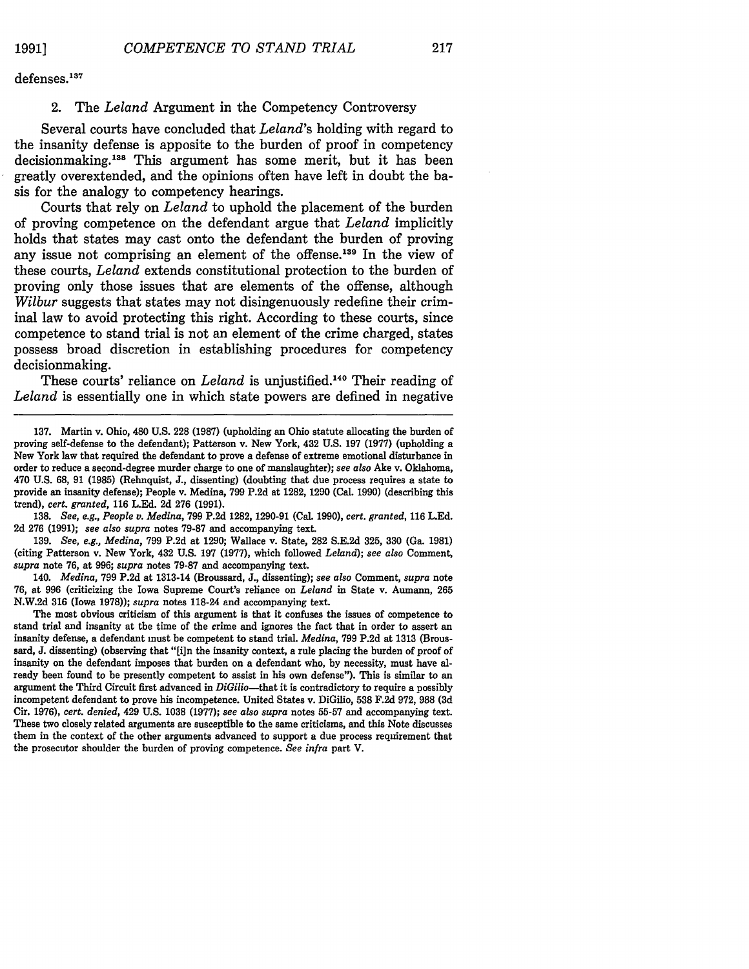defenses.<sup>137</sup>

## 2. The *Leland* Argument in the Competency Controversy

Several courts have concluded that *Leland's* holding with regard to the insanity defense is apposite to the burden of proof in competency decisionmaking.<sup>138</sup> This argument has some merit, but it has been greatly overextended, and the opinions often have left in doubt the basis for the analogy to competency hearings.

Courts that rely on *Leland* to uphold the placement of the burden of proving competence on the defendant argue that *Leland* implicitly holds that states may cast onto the defendant the burden of proving any issue not comprising an element of the offense.<sup>139</sup> In the view of these courts, *Leland* extends constitutional protection to the burden of proving only those issues that are elements of the offense, although *Wilbur* suggests that states may not disingenuously redefine their criminal law to avoid protecting this right. According to these courts, since competence to stand trial is not an element of the crime charged, states possess broad discretion in establishing procedures for competency decisionmaking.

These courts' reliance on *Leland* is unjustified.<sup>140</sup> Their reading of *Leland* is essentially one in which state powers are defined in negative

**138.** *See, e.g., People v. Medina,* **799 P.2d 1282, 1290-91** (Cal. **1990),** *cert. granted,* **116 L.Ed. 2d 276 (1991);** *see also supra* notes **79-87** and accompanying text.

**139.** *See, e.g., Medina,* **799 P.2d** at **1290;** Wallace v. State, **282 S.E.2d 325, 330** (Ga. **1981)** (citing Patterson v. New York, 432 **U.S. 197 (1977),** which followed *Leland); see also* Comment, *supra* note **76,** at **996;** *supra* notes **79-87** and accompanying text.

140. *Medina,* 799 P.2d at 1313-14 (Broussard, J., dissenting); *see also* Comment, *supra* note 76, at 996 (criticizing the Iowa Supreme Court's reliance on *Leland* in State v. Aumann, 265 N.W.2d 316 (Iowa 1978)); *supra* notes 118-24 and accompanying text.

The most obvious criticism of this argument is that it confuses the issues of competence to stand trial and insanity at the time of the crime and ignores the fact that in order to assert an insanity defense, a defendant must be competent to stand trial. *Medina,* 799 P.2d at 1313 (Broussard, J. dissenting) (observing that "[i]n the insanity context, a rule placing the burden of proof of insanity on the defendant imposes that burden on a defendant who, by necessity, must have already been found to be presently competent to assist in his own defense"). This is similar to an argument the Third Circuit first advanced in *DiGilio-that* it is contradictory to require a possibly incompetent defendant to prove his incompetence. United States v. DiGilio, **538 F.2d 972, 988 (3d** Cir. **1976),** *cert. denied,* 429 **U.S. 1038 (1977);** *see also supra* notes **55-57** and accompanying text. These two closely related arguments are susceptible to the same criticisms, and this Note discusses them in the context of the other arguments advanced to support a due process requirement that the prosecutor shoulder the burden of proving competence. *See infra* part V.

<sup>137.</sup> Martin v. Ohio, 480 U.S. 228 (1987) (upholding an Ohio statute allocating the burden of proving self-defense to the defendant); Patterson v. New York, 432 U.S. 197 (1977) (upholding a New York law that required the defendant to prove a defense of extreme emotional disturbance in order to reduce a second-degree murder charge to one of manslaughter); *see also* Ake v. Oklahoma, 470 **U.S. 68, 91 (1985)** (Rehnquist, **J.,** dissenting) (doubting that due process requires a state to provide an insanity defense); People v. Medina, **799 P.2d** at **1282, 1290** (Cal. **1990)** (describing this trend), *cert. granted,* **116 L.Ed. 2d 276 (1991).**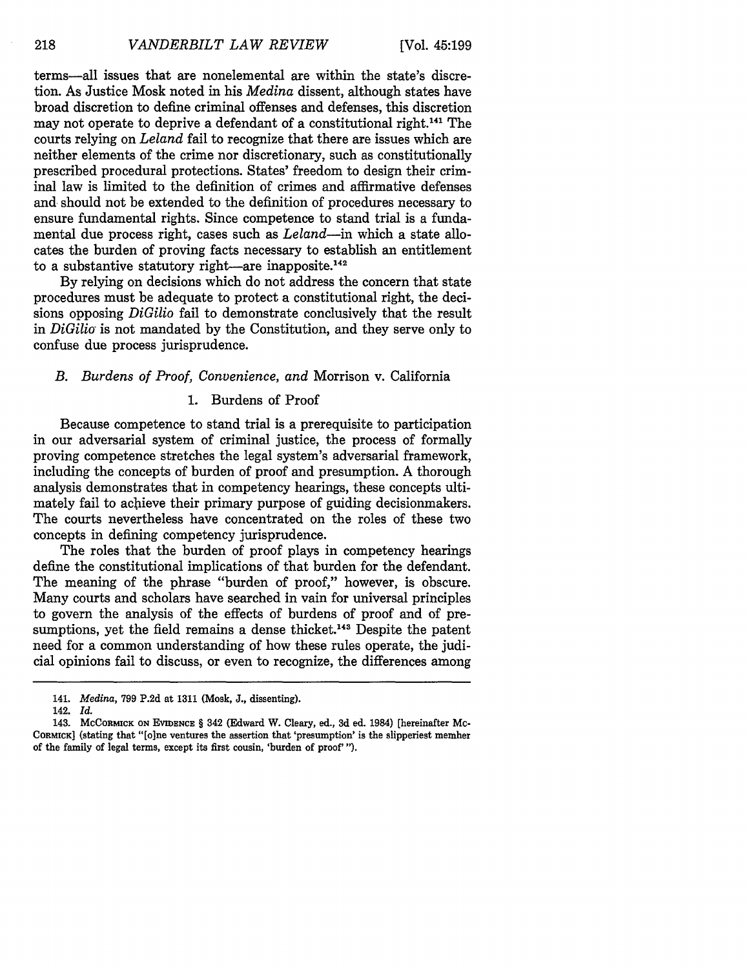terms-all issues that are nonelemental are within the state's discretion. As Justice Mosk noted in his *Medina* dissent, although states have broad discretion to define criminal offenses and defenses, this discretion may not operate to deprive a defendant of a constitutional right.<sup>141</sup> The courts relying on *Leland* fail to recognize that there are issues which are neither elements of the crime nor discretionary, such as constitutionally prescribed procedural protections. States' freedom to design their criminal law is limited to the definition of crimes and affirmative defenses and should not be extended to the definition of procedures necessary to ensure fundamental rights. Since competence to stand trial is a fundamental due process right, cases such as *Leland-in* which a state allocates the burden of proving facts necessary to establish an entitlement to a substantive statutory right-are inapposite.<sup>142</sup>

By relying on decisions which do not address the concern that state procedures must be adequate to protect a constitutional right, the decisions opposing *DiGilio* fail to demonstrate conclusively that the result in *DiGilio* is not mandated by the Constitution, and they serve only to confuse due process jurisprudence.

#### *B. Burdens of Proof, Convenience, and* Morrison v. California

#### 1. Burdens of Proof

Because competence to stand trial is a prerequisite to participation in our adversarial system of criminal justice, the process of formally proving competence stretches the legal system's adversarial framework, including the concepts of burden of proof and presumption. A thorough analysis demonstrates that in competency hearings, these concepts ultimately fail to achieve their primary purpose of guiding decisionmakers. The courts nevertheless have concentrated on the roles of these two concepts in defining competency jurisprudence.

The roles that the burden of proof plays in competency hearings define the constitutional implications of that burden for the defendant. The meaning of the phrase "burden of proof," however, is obscure. Many courts and scholars have searched in vain for universal principles to govern the analysis of the effects of burdens of proof and of presumptions, yet the field remains a dense thicket.<sup>143</sup> Despite the patent need for a common understanding of how these rules operate, the judicial opinions fail to discuss, or even to recognize, the differences among

<sup>141.</sup> *Medina,* **799 P.2d** at **1311** (Mosk, **J.,** dissenting).

<sup>142.</sup> *Id.*

<sup>143.</sup> MCCORMICK ON **EVIDENCE** § 342 (Edward W. Cleary, ed., **3d** ed. 1984) [hereinafter Mc-**CORMICK]** (stating that "[o]ne ventures the assertion that 'presumption' is the slipperiest member of the family of legal terms, except its first cousin, 'burden of proof' ").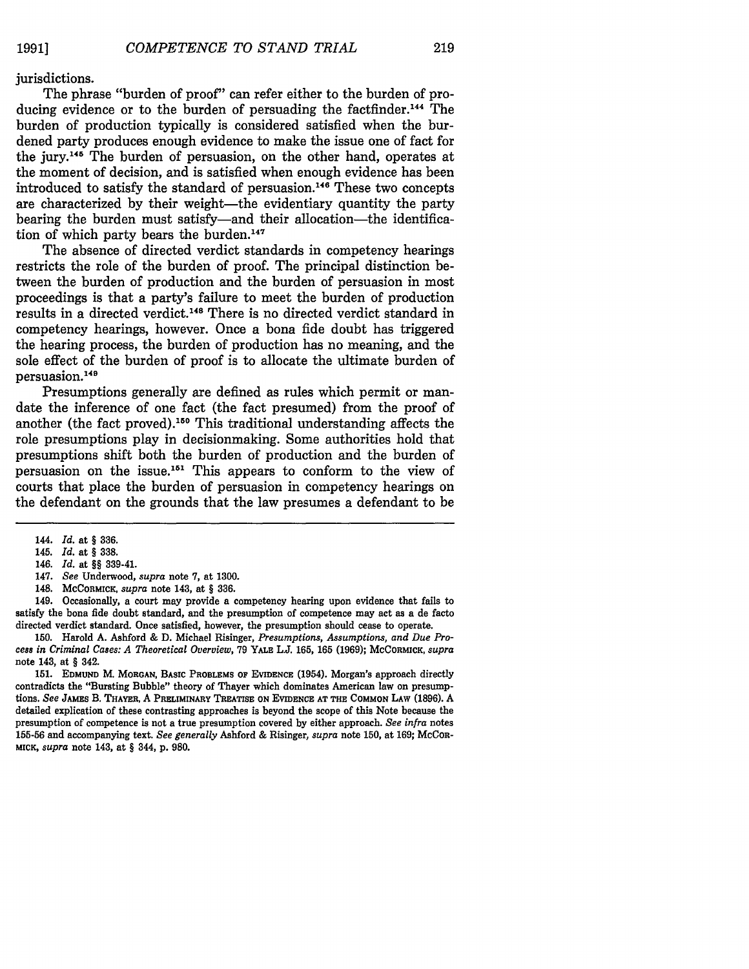jurisdictions.

The phrase "burden of proof" can refer either to the burden of producing evidence or to the burden of persuading the factfinder.<sup>144</sup> The burden of production typically is considered satisfied when the burdened party produces enough evidence to make the issue one of fact for the jury.145 The burden of persuasion, on the other hand, operates at the moment of decision, and is satisfied when enough evidence has been introduced to satisfy the standard of persuasion. 146 These two concepts are characterized by their weight-the evidentiary quantity the party bearing the burden must satisfy-and their allocation-the identification of which party bears the burden.<sup>147</sup>

The absence of directed verdict standards in competency hearings restricts the role of the burden of proof. The principal distinction between the burden of production and the burden of persuasion in most proceedings is that a party's failure to meet the burden of production results in a directed verdict.<sup>148</sup> There is no directed verdict standard in competency hearings, however. Once a bona fide doubt has triggered the hearing process, the burden of production has no meaning, and the sole effect of the burden of proof is to allocate the ultimate burden of persuasion.<sup>149</sup>

Presumptions generally are defined as rules which permit or mandate the inference of one fact (the fact presumed) from the proof of another (the fact proved).<sup>150</sup> This traditional understanding affects the role presumptions play in decisionmaking. Some authorities hold that presumptions shift both the burden of production and the burden of persuasion on the issue.<sup>151</sup> This appears to conform to the view of courts that place the burden of persuasion in competency hearings on the defendant on the grounds that the law presumes a defendant to be

148. **MCCORMICK,** *supra* note 143, at § **336.**

149. Occasionally, a court may provide a competency hearing upon evidence that fails to satisfy the bona fide doubt standard, and the presumption of competence may act as a de facto directed verdict standard. Once satisfied, however, the presumption should cease to operate.

**150.** Harold **A.** Ashford & **D.** Michael Risinger, *Presumptions, Assumptions, and Due Process in Criminal Cases: A Theoretical Overview,* 79 YALE L.J. 165, 165 (1969); McCoRMICK, *supra* note 143, at § 342.

151. EDMUND M. MORGAN, BASIC PROBLEMS OF EVIDENCE (1954). Morgan's approach directly contradicts the "Bursting Bubble" theory of Thayer which dominates American law on presumptions. *See* **JAMES** B. **THAYER, A** PRELIMINARY **TREATISE ON EVIDENCE AT THE COMMON LAW (1896). A** detailed explication of these contrasting approaches is beyond the scope of this Note because the presumption of competence is not a true presumption covered **by** either approach. *See infra* notes **155-56** and accompanying text. *See generally* Ashford **&** Risinger, *supra* note **150,** at **169;** McCoR-MICK, *supra* note **143,** at § 344, **p. 980.**

<sup>144.</sup> *Id.* at *§* **336.**

<sup>145.</sup> *Id.* at *§* **338.**

<sup>146.</sup> *Id.* at §§ 339-41.

<sup>147.</sup> *See* Underwood, *supra* note 7, at **1300.**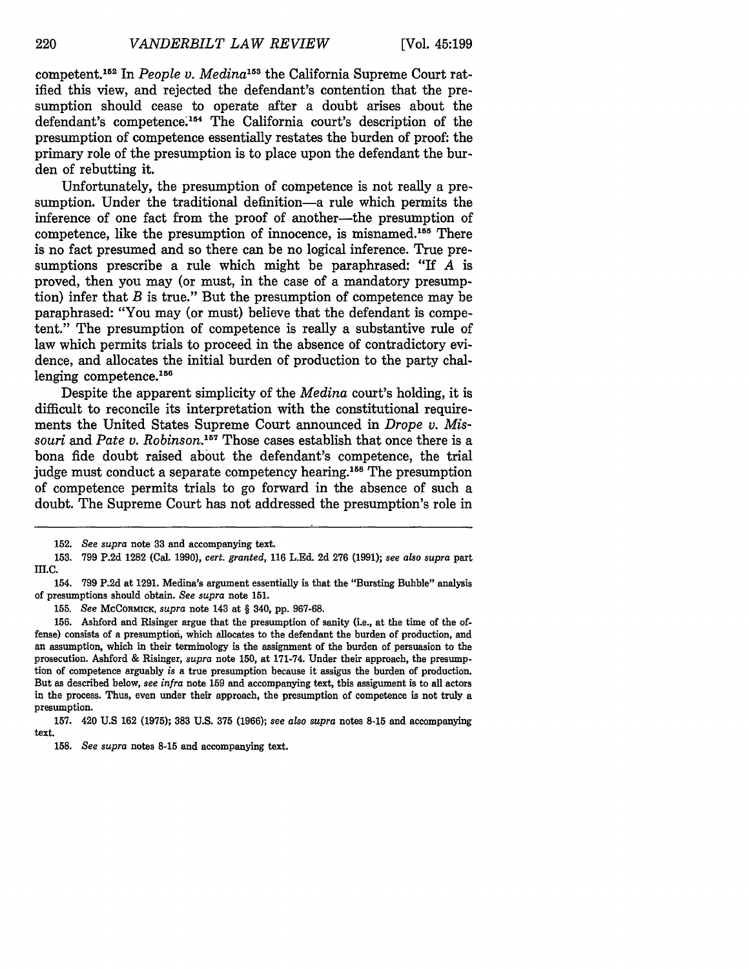competent.152 In *People v. Medina153* the California Supreme Court ratified this view, and rejected the defendant's contention that the presumption should cease to operate after a doubt arises about the defendant's competence.<sup>154</sup> The California court's description of the presumption of competence essentially restates the burden of proof: the primary role of the presumption is to place upon the defendant the burden of rebutting it.

Unfortunately, the presumption of competence is not really a presumption. Under the traditional definition—a rule which permits the inference of one fact from the proof of another-the presumption of competence, like the presumption of innocence, is misnamed.<sup>155</sup> There is no fact presumed and so there can be no logical inference. True presumptions prescribe a rule which might be paraphrased: "If *A* is proved, then you may (or must, in the case of a mandatory presumption) infer that *B* is true." But the presumption of competence may be paraphrased: "You may (or must) believe that the defendant is competent." The presumption of competence is really a substantive rule of law which permits trials to proceed in the absence of contradictory evidence, and allocates the initial burden of production to the party challenging competence. $156$ 

Despite the apparent simplicity of the *Medina* court's holding, it is difficult to reconcile its interpretation with the constitutional requirements the United States Supreme Court announced in *Drope v. Missouri* and *Pate v. Robinson.157* Those cases establish that once there is a bona fide doubt raised about the defendant's competence, the trial judge must conduct a separate competency hearing.<sup>158</sup> The presumption of competence permits trials to go forward in the absence of such a doubt. The Supreme Court has not addressed the presumption's role in

155. *See* MCCORMICK, *supra* note 143 at § 340, pp. 967-68.

157. 420 **U.S** 162 (1975); 383 U.S. **375** (1966); *see also supra* notes 8-15 and accompanying text.

158. *See supra* notes 8-15 and accompanying text.

**<sup>152.</sup>** *See supra* note **33** and accompanying text.

<sup>153. 799</sup> P.2d 1282 (Cal. 1990), *cert. granted,* **116** L.Ed. 2d 276 (1991); *see also supra* part **II.C.**

<sup>154. 799</sup> P.2d at 1291. Medina's argument essentially is that the "Bursting Bubble" analysis of presumptions should obtain. *See supra* note 151.

<sup>156.</sup> Ashford and Risinger argue that the presumption of sanity (i.e., at the time of the offense) consists of a presumptiori, which allocates to the defendant the burden of production, and an assumption, which in their terminology is the assignment of the burden of persuasion to the prosecution. Ashford & Risinger, *supra* note 150, at 171-74. Under their approach, the presumption of competence arguably *is* a true presumption because it assigns the burden of production. But as described below, *see infra* note 159 and accompanying text, this assigument is to all actors in the process. Thus, even under their approach, the presumption of competence is not truly a presumption.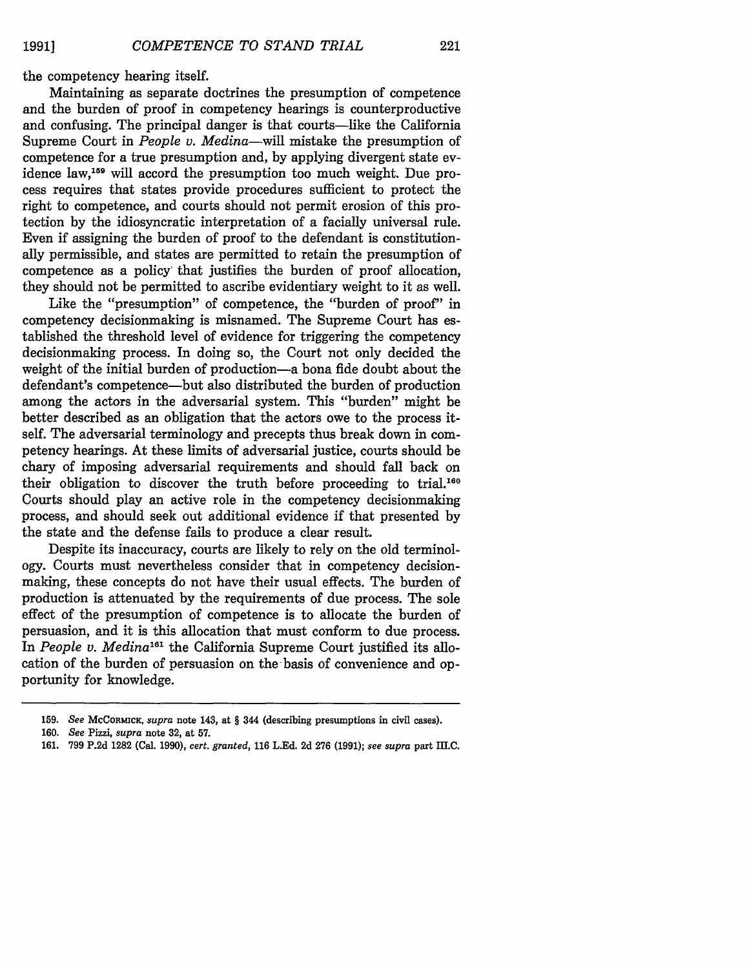221

the competency hearing itself.

Maintaining as separate doctrines the presumption of competence and the burden of proof in competency hearings is counterproductive and confusing. The principal danger is that courts—like the California Supreme Court in *People v. Medina-will* mistake the presumption of competence for a true presumption and, by applying divergent state evidence law,159 will accord the presumption too much weight. Due process requires that states provide procedures sufficient to protect the right to competence, and courts should not permit erosion of this protection by the idiosyncratic interpretation of a facially universal rule. Even if assigning the burden of proof to the defendant is constitutionally permissible, and states are permitted to retain the presumption of competence as a policy' that justifies the burden of proof allocation, they should not be permitted to ascribe evidentiary weight to it as well.

Like the "presumption" of competence, the "burden of proof" in competency decisionmaking is misnamed. The Supreme Court has established the threshold level of evidence for triggering the competency decisionmaking process. In doing so, the Court not only decided the weight of the initial burden of production—a bona fide doubt about the defendant's competence-but also distributed the burden of production among the actors in the adversarial system. This "burden" might be better described as an obligation that the actors owe to the process itself. The adversarial terminology and precepts thus break down in competency hearings. At these limits of adversarial justice, courts should be chary of imposing adversarial requirements and should fall back on their obligation to discover the truth before proceeding to trial.<sup>160</sup> Courts should play an active role in the competency decisionmaking process, and should seek out additional evidence if that presented by the state and the defense fails to produce a clear result.

Despite its inaccuracy, courts are likely to rely on the old terminology. Courts must nevertheless consider that in competency decisionmaking, these concepts do not have their usual effects. The burden of production is attenuated by the requirements of due process. The sole effect of the presumption of competence is to allocate the burden of persuasion, and it is this allocation that must conform to due process. In *People v. Medina'61* the California Supreme Court justified its allocation of the burden of persuasion on the basis of convenience and opportunity for knowledge.

- 160. *See* Pizzi, *supra* note 32, at 57.
- 161. 799 P.2d 1282 (Cal. 1990), *cert. granted,* 116 L.Ed. 2d 276 (1991); *see supra* part *I1I.C.*

**<sup>159.</sup>** *See* **MCCORMICK,** *supra* note 143, at § 344 (describing presumptions in civil cases).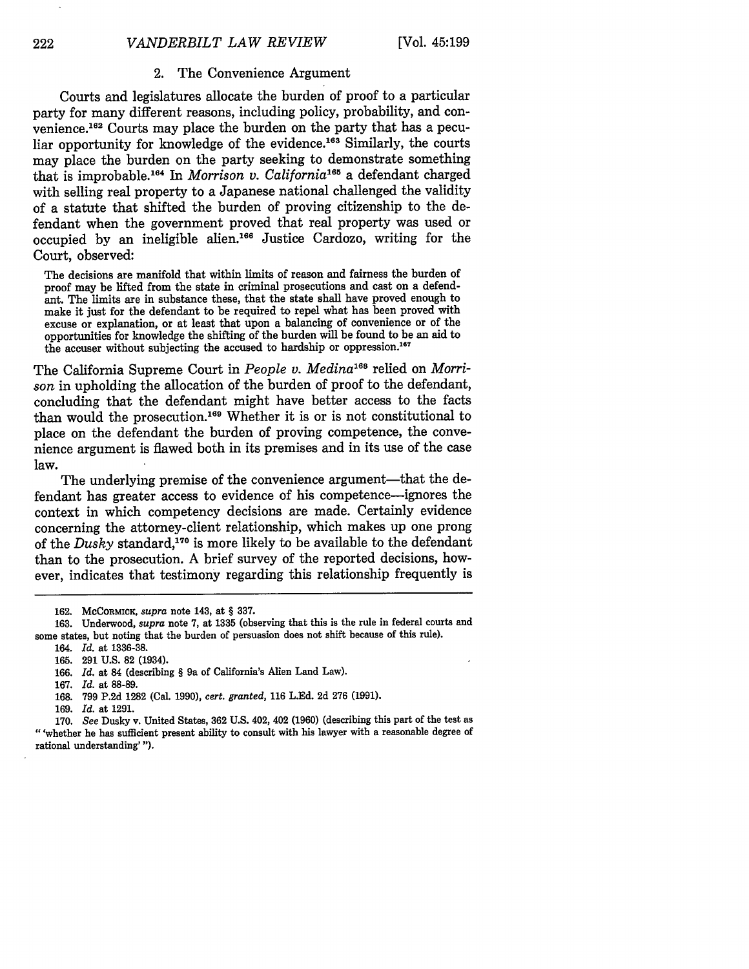#### 2. The Convenience Argument

Courts and legislatures allocate the burden of proof to a particular party for many different reasons, including policy, probability, and convenience.162 Courts may place the burden on the party that has a peculiar opportunity for knowledge of the evidence.<sup>163</sup> Similarly, the courts may place the burden on the party seeking to demonstrate something that is improbable.<sup>164</sup> In *Morrison v. California*<sup>165</sup> a defendant charged with selling real property to a Japanese national challenged the validity of a statute that shifted the burden of proving citizenship to the defendant when the government proved that real property was used or occupied by an ineligible alien.<sup>166</sup> Justice Cardozo, writing for the Court, observed:

The decisions are manifold that within limits of reason and fairness the burden of proof may be lifted from the state in criminal prosecutions and cast on a defendant. The limits are in substance these, that the state shall have proved enough to make it just for the defendant to be required to repel what has been proved with excuse or explanation, or at least that upon a balancing of convenience or of the opportunities for knowledge the shifting of the burden **will** be found to be an aid to the accuser without subjecting the accused to hardship or oppression.<sup>167</sup>

The California Supreme Court in *People v. Medina<sup>168</sup>* relied on *Morrison* in upholding the allocation of the burden of proof to the defendant, concluding that the defendant might have better access to the facts than would the prosecution.<sup>169</sup> Whether it is or is not constitutional to place on the defendant the burden of proving competence, the convenience argument is flawed both in its premises and in its use of the case law.

The underlying premise of the convenience argument—that the defendant has greater access to evidence of his competence-ignores the context in which competency decisions are made. Certainly evidence concerning the attorney-client relationship, which makes up one prong of the *Dusky* standard,<sup>170</sup> is more likely to be available to the defendant than to the prosecution. A brief survey of the reported decisions, however, indicates that testimony regarding this relationship frequently is

168. **799** P.2d 1282 (Cal. 1990), *cert. granted,* **116** L.Ed. 2d 276 (1991).

170. *See* Dusky v. United States, 362 U.S. 402, 402 (1960) (describing this part of the test as "'whether he has sufficient present ability to consult with his lawyer with a reasonable degree of rational understanding' **").**

**<sup>162.</sup> MCCORaICK,** *supra* note 143, at § **337.**

<sup>163.</sup> Underwood, *supra* note 7, at 1335 (observing that this is the rule in federal courts and some states, but noting that the burden of persuasion does not shift because of this rule).

<sup>164.</sup> *Id.* at 1336-38.

<sup>165. 291</sup> U.S. 82 (1934).

<sup>166.</sup> *Id.* at 84 (describing § 9a of California's Alien Land Law).

<sup>167.</sup> *Id.* at 88-89.

<sup>169.</sup> *Id.* at 1291.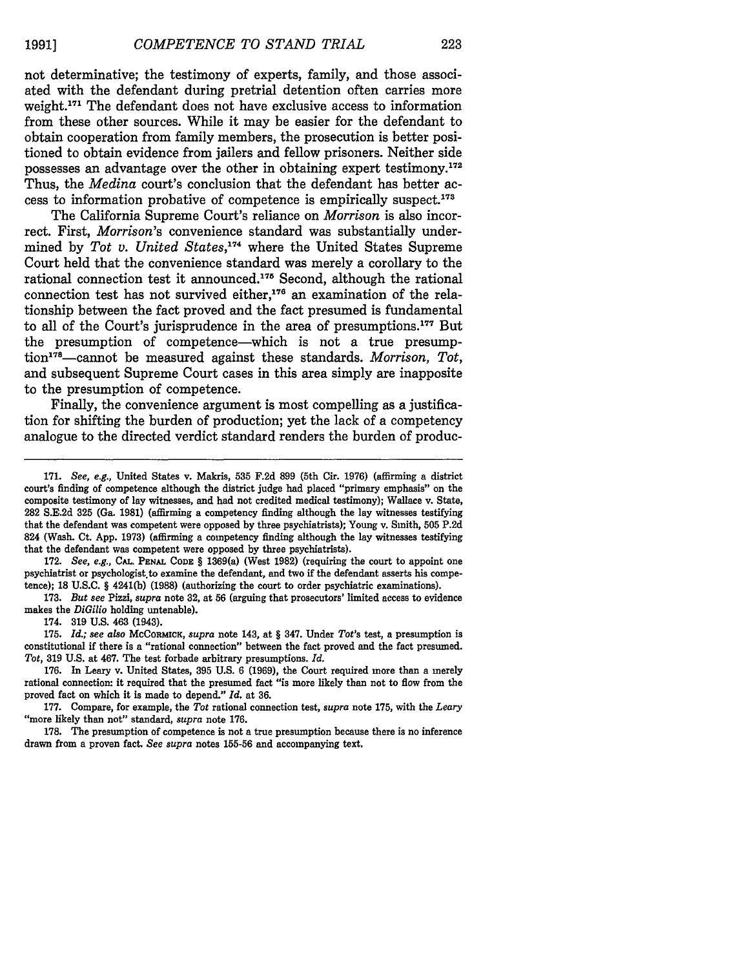not determinative; the testimony of experts, family, and those associated with the defendant during pretrial detention often carries more weight.<sup>171</sup> The defendant does not have exclusive access to information from these other sources. While it may be easier for the defendant to obtain cooperation from family members, the prosecution is better positioned to obtain evidence from jailers and fellow prisoners. Neither side possesses an advantage over the other in obtaining expert testimony.172 Thus, the *Medina* court's conclusion that the defendant has better access to information probative of competence is empirically suspect. $173$ 

The California Supreme Court's reliance on *Morrison* is also incorrect. First, *Morrison's* convenience standard was substantially undermined by Tot v. United States,<sup>174</sup> where the United States Supreme Court held that the convenience standard was merely a corollary to the rational connection test it announced.<sup>175</sup> Second, although the rational connection test has not survived either,<sup>176</sup> an examination of the relationship between the fact proved and the fact presumed is fundamental to all of the Court's jurisprudence in the area of presumptions.<sup>177</sup> But the presumption of competence-which is not a true presumption<sup>178</sup>—cannot be measured against these standards. Morrison, Tot, and subsequent Supreme Court cases in this area simply are inapposite to the presumption of competence.

Finally, the convenience argument is most compelling as a justification for shifting the burden of production; yet the lack of a competency analogue to the directed verdict standard renders the burden of produc-

**172.** *See, e.g.,* **CAL. PENAL CODE §** 1369(a) (West **1982)** (requiring the court to appoint one psychiatrist or psychologist to examine the defendant, and two if the defendant asserts his competence); **18 U.S.C. §** 4241(b) **(1988)** (authorizing the court to order psychiatric examinations).

**173.** *But see* Pizzi, *supra* note **32,** at **56** (arguing that prosecutors' limited access to evidence makes the *DiGilio* holding untenable).

174. **319 U.S.** 463 (1943).

**175.** *Id.; see also* **McCORMIcK,** *supra* note 143, at **§** 347. Under Tot's test, a presumption is constitutional if there is a "rational connection" between the fact proved and the fact presumed. *Tot,* **319 U.S.** at 467. The test forbade arbitrary presumptions. *Id.*

**176.** In Leary v. United States, **395 U.S. 6 (1969),** the Court required more than a merely rational connection: it required that the presumed fact "is more likely than not to flow from the proved fact on which it is made to depend." *Id.* at **36.**

**177.** Compare, for example, the *Tot* rational connection test, *supra* note **175,** with the *Leary* "more likely than not" standard, *supra* note **176.**

**178.** The presumption of competence is not a true presumption because there is no inference drawn from a proven fact. *See supra* notes **155-56** and accompanying text.

**<sup>171.</sup>** *See, e.g.,* United States v. Makris, **535 F.2d 899** (5th **Cir. 1976)** (affirming a district court's finding of competence although the district judge had placed "primary emphasis" on the composite testimony of lay witnesses, and had not credited medical testimony); Wallace v. State, 282 **S.E.2d 325** (Ga. **1981)** (affirming a competency finding although the lay witnesses testifying that the defendant was competent were opposed **by** three psychiatrists); Young v. Smith, **505 P.2d** 824 (Wash. Ct. **App. 1973)** (affirming a competency finding although the lay witnesses testifying that the defendant was competent were opposed **by** three psychiatrists).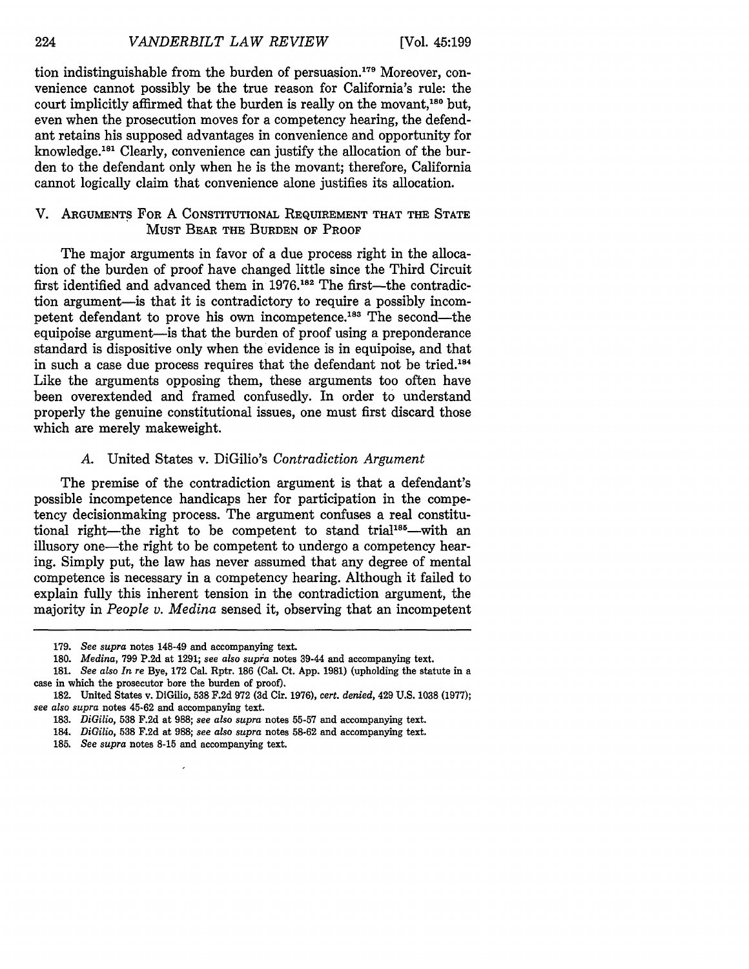tion indistinguishable from the burden of persuasion.<sup>179</sup> Moreover, convenience cannot possibly be the true reason for California's rule: the court implicitly affirmed that the burden is really on the movant.<sup>180</sup> but, even when the prosecution moves for a competency hearing, the defendant retains his supposed advantages in convenience and opportunity for knowledge.<sup>181</sup> Clearly, convenience can justify the allocation of the burden to the defendant only when he is the movant; therefore, California cannot logically claim that convenience alone justifies its allocation.

# V. **ARGUMENTS** FOR A CONSTITUTIONAL REQUIREMENT THAT THE STATE MUST BEAR THE BURDEN OF PROOF

The major arguments in favor of a due process right in the allocation of the burden of proof have changed little since the Third Circuit first identified and advanced them in 1976.<sup>182</sup> The first-the contradiction argument-is that it is contradictory to require a possibly incompetent defendant to prove his own incompetence.<sup>183</sup> The second-the equipoise argument-is that the burden of proof using a preponderance standard is dispositive only when the evidence is in equipoise, and that in such a case due process requires that the defendant not be tried.<sup>184</sup> Like the arguments opposing them, these arguments too often have been overextended and framed confusedly. In order to understand properly the genuine constitutional issues, one must first discard those which are merely makeweight.

#### *A.* United States v. DiGilio's *Contradiction Argument*

The premise of the contradiction argument is that a defendant's possible incompetence handicaps her for participation in the competency decisionmaking process. The argument confuses a real constitutional right-the right to be competent to stand trial<sup>185</sup>-with an illusory one-the right to be competent to undergo a competency hearing. Simply put, the law has never assumed that any degree of mental competence is necessary in a competency hearing. Although it failed to explain fully this inherent tension in the contradiction argument, the majority in *People v. Medina* sensed it, observing that an incompetent

- 184. *DiGilio,* **538** F.2d at 988; *see also supra* notes **58-62** and accompanying text.
- 185. *See supra* notes 8-15 and accompanying text.

**<sup>179.</sup>** *See supra* notes 148-49 and accompanying text.

<sup>180.</sup> *Medina,* 799 P.2d at 1291; *see also supra* notes 39-44 and accompanying text.

<sup>181.</sup> *See also In re* Bye, 172 Cal. Rptr. **186** (Cal. Ct. App. **1981)** (upholding the statute in a case in which the prosecutor bore the burden of proof).

<sup>182.</sup> United States v. DiGilio, **538** F.2d 972 **(3d** Cir. 1976), *cert. denied,* 429 U.S. 1038 **(1977);** *see also supra* notes 45-62 and accompanying text.

**<sup>183.</sup>** *DiGili,* **538** F.2d at 988; *see also supra* notes 55-57 and accompanying text.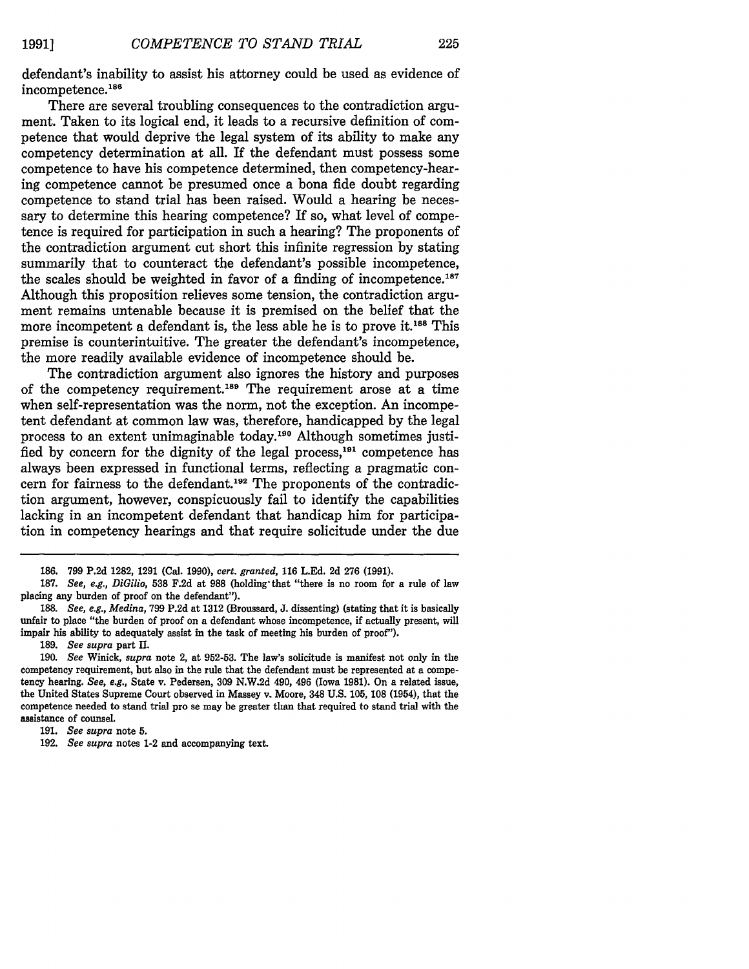defendant's inability to assist his attorney could be used as evidence of incompetence.<sup>186</sup>

There are several troubling consequences to the contradiction argument. Taken to its logical end, it leads to a recursive definition of competence that would deprive the legal system of its ability to make any competency determination at all. If the defendant must possess some competence to have his competence determined, then competency-hearing competence cannot be presumed once a bona fide doubt regarding competence to stand trial has been raised. Would a hearing be necessary to determine this hearing competence? If so, what level of competence is required for participation in such a hearing? The proponents of the contradiction argument cut short this infinite regression by stating summarily that to counteract the defendant's possible incompetence, the scales should be weighted in favor of a finding of incompetence. <sup>187</sup> Although this proposition relieves some tension, the contradiction argument remains untenable because it is premised on the belief that the more incompetent a defendant is, the less able he is to prove it.<sup>188</sup> This premise is counterintuitive. The greater the defendant's incompetence, the more readily available evidence of incompetence should be.

The contradiction argument also ignores the history and purposes of the competency requirement.<sup>189</sup> The requirement arose at a time when self-representation was the norm, not the exception. An incompetent defendant at common law was, therefore, handicapped by the legal process to an extent unimaginable today.<sup>190</sup> Although sometimes justified by concern for the dignity of the legal process,<sup>191</sup> competence has always been expressed in functional terms, reflecting a pragmatic concern for fairness to the defendant.<sup>192</sup> The proponents of the contradiction argument, however, conspicuously fail to identify the capabilities lacking in an incompetent defendant that handicap him for participation in competency hearings and that require solicitude under the due

189. *See supra* part *II.*

**191.** *See supra* note **5.**

<sup>186. 799</sup> P.2d 1282, 1291 (Cal. **1990),** *cert. granted,* 116 L.Ed. 2d 276 (1991).

<sup>187.</sup> *See, e.g., DiGilio,* **538** F.2d at **988** (holding-that "there is no room for a rule of law placing any burden of proof on the defendant").

**<sup>188.</sup>** *See, e.g., Medina,* 799 P.2d at 1312 (Broussard, J. dissenting) (stating that it is basically unfair to place "the burden of proof on a defendant whose incompetence, if actually present, will impair his ability to adequately assist in the task of meeting his burden of proof").

<sup>190.</sup> *See* Winick, *supra* note 2, at 952-53. The law's solicitude is manifest not only in the competency requirement, but also in the rule that the defendant must be represented at a competency hearing. *See, e.g.,* State v. Pedersen, 309 N.W.2d 490, 496 (Iowa 1981). On a related issue, the United States Supreme Court observed in Massey v. Moore, 348 U.S. 105, 108 (1954), that the competence needed to stand trial pro se may be greater than that required to stand trial with the assistance of counsel.

**<sup>192.</sup>** *See supra* notes 1-2 and accompanying text.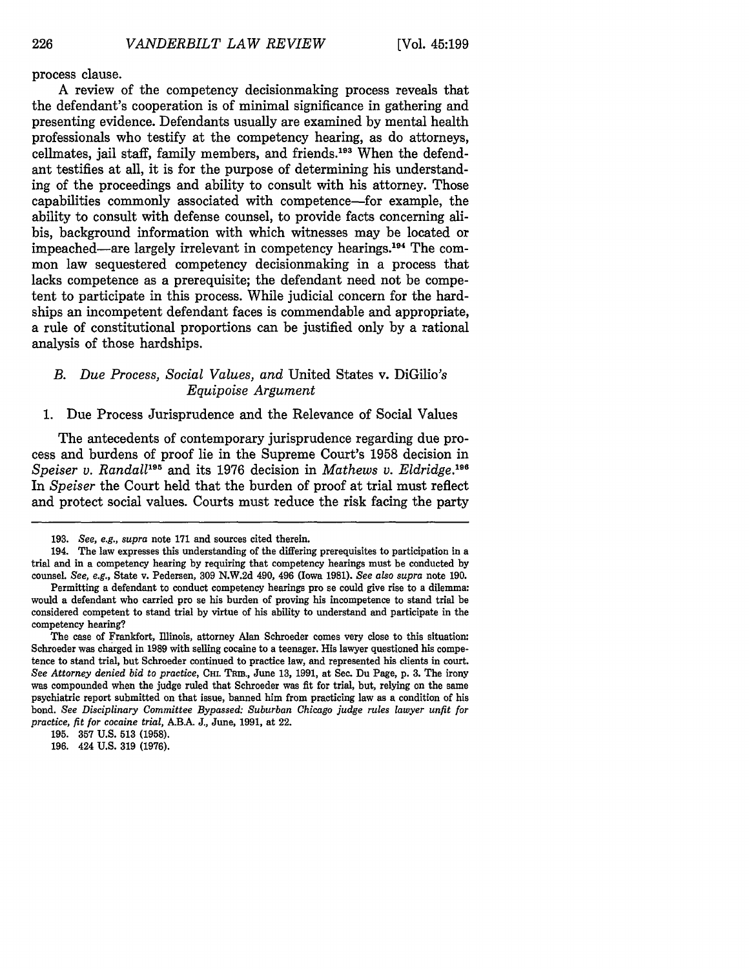process clause.

A review of the competency decisionmaking process reveals that the defendant's cooperation is of minimal significance in gathering and presenting evidence. Defendants usually are examined by mental health professionals who testify at the competency hearing, as do attorneys, cellmates, jail staff, family members, and friends. 193 When the defendant testifies at all, it is for the purpose of determining his understanding of the proceedings and ability to consult with his attorney. Those capabilities commonly associated with competence-for example, the ability to consult with defense counsel, to provide facts concerning alibis, background information with which witnesses may be located or impeached—are largely irrelevant in competency hearings.<sup>194</sup> The common law sequestered competency decisionmaking in a process that lacks competence as a prerequisite; the defendant need not be competent to participate in this process. While judicial concern for the hardships an incompetent defendant faces is commendable and appropriate, a rule of constitutional proportions can be justified only by a rational analysis of those hardships.

# *B. Due Process, Social Values, and* United States v. DiGilio's *Equipoise Argument*

1. Due Process Jurisprudence and the Relevance of Social Values

The antecedents of contemporary jurisprudence regarding due process and burdens of proof lie in the Supreme Court's 1958 decision in *Speiser v. Randall<sup>195</sup>* and its 1976 decision in *Mathews v. Eldridge*.<sup>196</sup> In *Speiser* the Court held that the burden of proof at trial must reflect and protect social values. Courts must reduce the risk facing the party

**<sup>193.</sup>** *See, e.g., supra* note **171** and sources cited therein.

<sup>194.</sup> The law expresses this understanding of the differing prerequisites to participation in a trial and in a competency hearing by requiring that competency hearings must be conducted by counsel. *See, e.g.,* State v. Pedersen, **309** N.W.2d 490, 496 (Iowa 1981). *See also supra* note 190.

Permitting a defendant to conduct competency hearings pro se could give rise to a dilemma: would a defendant who carried pro se his burden of proving his incompetence to stand trial be considered competent to stand trial by virtue of his ability to understand and participate in the competency hearing?

The case of Frankfort, Illinois, attorney Alan Schroeder comes very close to this situation: Schroeder was charged in 1989 with selling cocaine to a teenager. His lawyer questioned his competence to stand trial, but Schroeder continued to practice law, and represented his clients in court. *See Attorney denied bid to practice,* **CHL** TRm., June **13,** 1991, at Sec. Du Page, p. **3.** The irony was compounded when the judge ruled that Schroeder was fit for trial, but, relying on the same psychiatric report submitted on that issue, banned him from practicing law as a condition of his bond. *See Disciplinary Committee Bypassed: Suburban Chicago judge rules lawyer unfit for practice, fit for cocaine trial,* A.B. J., June, 1991, at 22.

<sup>195. 357</sup> U.S. 513 (1958).

<sup>196. 424</sup> U.S. 319 (1976).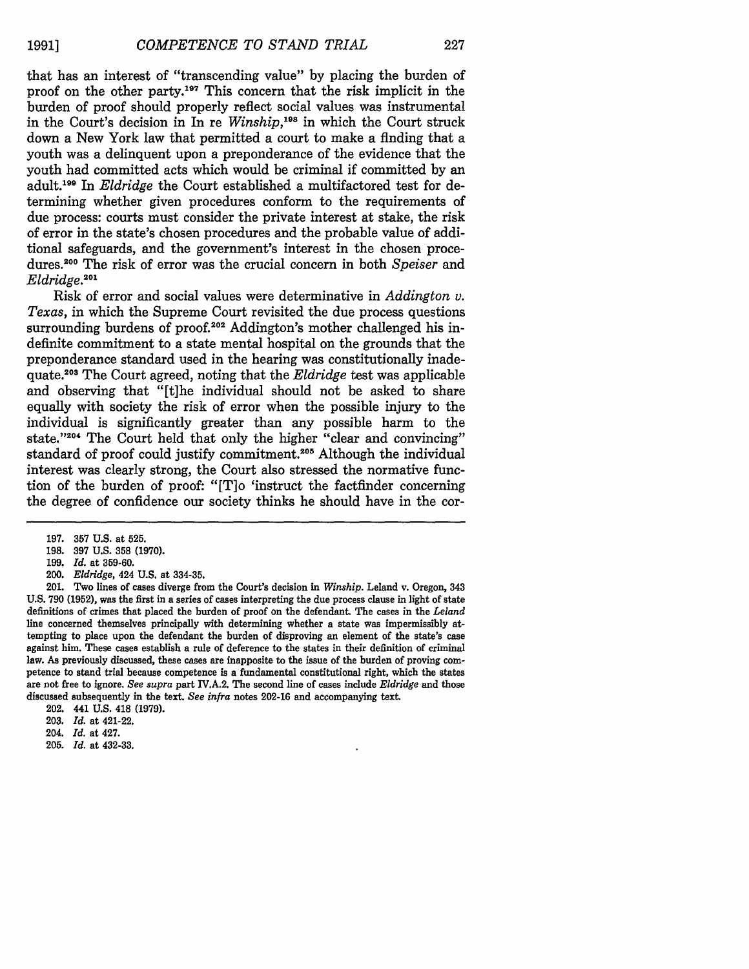that has an interest of "transcending value" by placing the burden of proof on the other party.197 This concern that the risk implicit in the burden of proof should properly reflect social values was instrumental in the Court's decision in In re *Winship,19 <sup>s</sup>*in which the Court struck down a New York law that permitted a court to make a finding that a youth was a delinquent upon a preponderance of the evidence that the youth had committed acts which would be criminal if committed by an adult.<sup>199</sup> In *Eldridge* the Court established a multifactored test for determining whether given procedures conform to the requirements of due process: courts must consider the private interest at stake, the risk of error in the state's chosen procedures and the probable value of additional safeguards, and the government's interest in the chosen procedures.20 0 The risk of error was the crucial concern in both *Speiser* and  $Eldridge.<sup>201</sup>$ 

Risk of error and social values were determinative in *Addington v. Texas,* in which the Supreme Court revisited the due process questions surrounding burdens of proof.<sup>202</sup> Addington's mother challenged his indefinite commitment to a state mental hospital on the grounds that the preponderance standard used in the hearing was constitutionally inadequate.20 3 The Court agreed, noting that the *Eldridge* test was applicable and observing that "[t]he individual should not be asked to share equally with society the risk of error when the possible injury to the individual is significantly greater than any possible harm to the state."204 The Court held that only the higher "clear and convincing" standard of proof could justify commitment.205 Although the individual interest was clearly strong, the Court also stressed the normative function of the burden of proof: "[T]o 'instruct the factfinder concerning the degree of confidence our society thinks he should have in the cor-

- **199.** *Id.* at **359-60.**
- 200. *Eldridge,* 424 **U.S.** at **334-35.**

201. Two lines of cases diverge from the Court's decision in *Winship.* Leland v. Oregon, 343 **U.S. 790 (1952),** was the first in a series of cases interpreting the due process clause in light of state definitions of crimes that placed the burden of proof on the defendant. The cases in the *Leland* line concerned themselves principally with determining whether a state was impermissibly attempting to place upon the defendant the burden of disproving an element of the state's case against him. These cases establish a rule of deference to the states in their definition of criminal law. As previously discussed, these cases are inapposite to the issue of the burden of proving competence to stand trial because competence is a fundamental constitutional right, which the states are not free to ignore. *See supra* part IV.A.2. The second line of cases include *Eldridge* and those discussed subsequently in the text. *See infra* notes **202-16** and accompanying text.

- 202. 441 **U.S.** 418 **(1979).**
- **203.** *Id.* at 421-22.
- 204. *Id.* at 427.
- **205.** *Id.* at 432-33.

**<sup>197. 357</sup> U.S.** at **525.**

**<sup>198. 397</sup>** U.S. **358 (1970).**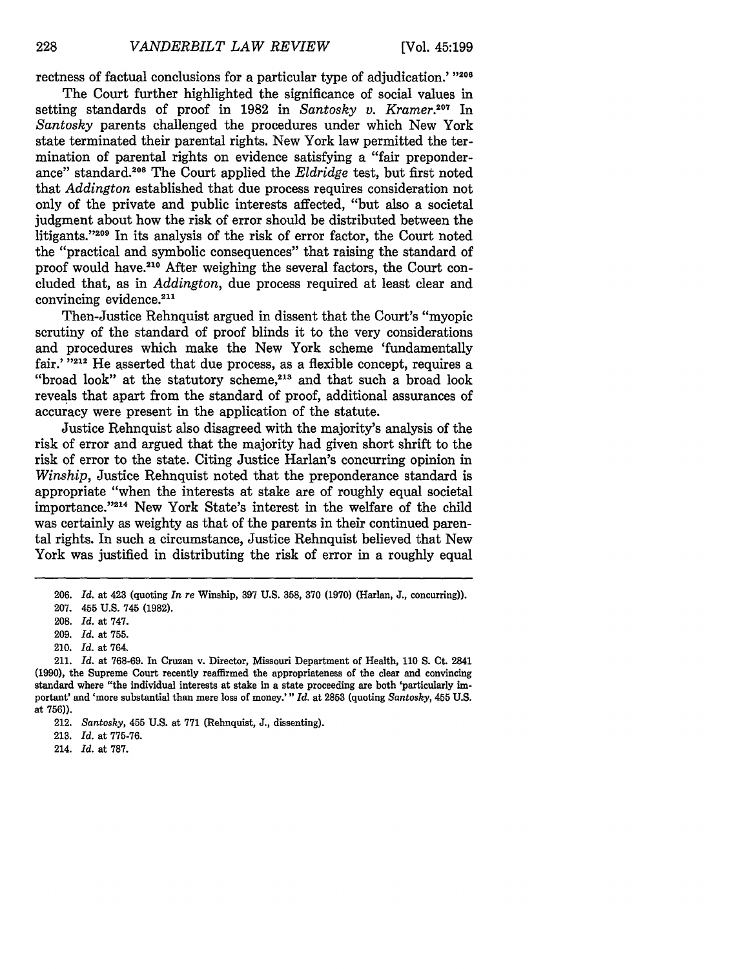rectness of factual conclusions for a particular type of adjudication.' <sup>*n206*</sup>

The Court further highlighted the significance of social values in setting standards of proof in 1982 in *Santosky v. Kramer.*<sup>207</sup> In *Santosky* parents challenged the procedures under which New York state terminated their parental rights. New York law permitted the termination of parental rights on evidence satisfying a "fair preponderance" standard. 08 The Court applied the *Eldridge* test, but first noted that *Addington* established that due process requires consideration not only of the private and public interests affected, "but also a societal judgment about how the risk of error should be distributed between the litigants."209 In its analysis of the risk of error factor, the Court noted the "practical and symbolic consequences" that raising the standard of proof would have.<sup>210</sup> After weighing the several factors, the Court concluded that, as in *Addington,* due process required at least clear and convincing evidence.<sup>211</sup>

Then-Justice Rehnquist argued in dissent that the Court's "myopic scrutiny of the standard of proof blinds it to the very considerations and procedures which make the New York scheme 'fundamentally fair.' "<sup>212</sup> He asserted that due process, as a flexible concept, requires a "broad look" at the statutory scheme, $213$  and that such a broad look reveals that apart from the standard of proof, additional assurances of accuracy were present in the application of the statute.

Justice Rehnquist also disagreed with the majority's analysis of the risk of error and argued that the majority had given short shrift to the risk of error to the state. Citing Justice Harlan's concurring opinion in *Winship,* Justice Rehnquist noted that the preponderance standard is appropriate "when the interests at stake are of roughly equal societal importance."<sup>214</sup> New York State's interest in the welfare of the child was certainly as weighty as that of the parents in their continued parental rights. In such a circumstance, Justice Rehnquist believed that New York was justified in distributing the risk of error in a roughly equal

**<sup>206.</sup>** *Id.* at 423 (quoting *In re* Winship, **397 U.S. 358, 370 (1970)** (Harlan, **J.,** concurring)).

<sup>207. 455</sup> U.S. 745 (1982).

**<sup>208.</sup>** *Id.* at **747.**

<sup>209.</sup> *Id.* at 755.

<sup>210.</sup> *Id.* at 764.

<sup>211.</sup> *Id.* at 768-69. In Cruzan v. Director, Missouri Department of Health, **110 S.** Ct. 2841 (1990), the Supreme Court recently reaffirmed the appropriateness of the clear and convincing standard where "the individual interests at stake in a state proceeding are both 'particularly important' and 'more substantial than mere loss of money.'" *Id.* at 2853 (quoting *Santosky,* 455 U.S. at **756)).**

<sup>212.</sup> *Santosky,* 455 **U.S.** at **771** (Rehnquist, **J.,** dissenting).

**<sup>213.</sup>** *Id.* at **775-76.**

<sup>214.</sup> *Id.* at **787.**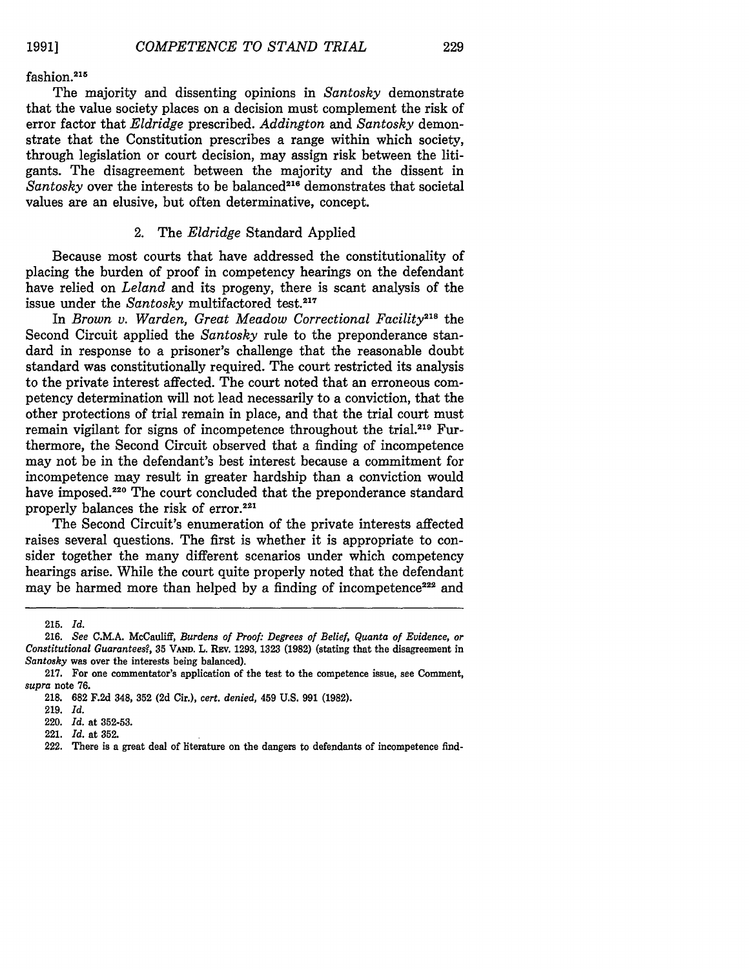fashion.<sup>215</sup>

The majority and dissenting opinions in *Santosky* demonstrate that the value society places on a decision must complement the risk of error factor that *Eldridge* prescribed. *Addington* and *Santosky* demonstrate that the Constitution prescribes a range within which society, through legislation or court decision, may assign risk between the litigants. The disagreement between the majority and the dissent in *Santosky* over the interests to be balanced<sup>216</sup> demonstrates that societal values are an elusive, but often determinative, concept.

#### 2. The *Eldridge* Standard Applied

Because most courts that have addressed the constitutionality of placing the burden of proof in competency hearings on the defendant have relied on *Leland* and its progeny, there is scant analysis of the issue under the *Santosky* multifactored test.<sup>217</sup>

In *Brown v. Warden, Great Meadow Correctional Facility*<sup>218</sup> the Second Circuit applied the *Santosky* rule to the preponderance standard in response to a prisoner's challenge that the reasonable doubt standard was constitutionally required. The court restricted its analysis to the private interest affected. The court noted that an erroneous competency determination will not lead necessarily to a conviction, that the other protections of trial remain in place, and that the trial court must remain vigilant for signs of incompetence throughout the trial.<sup>219</sup> Furthermore, the Second Circuit observed that a finding of incompetence may not be in the defendant's best interest because a commitment for incompetence may result in greater hardship than a conviction would have imposed.<sup>220</sup> The court concluded that the preponderance standard properly balances the risk of error.<sup>221</sup>

The Second Circuit's enumeration of the private interests affected raises several questions. The first is whether it is appropriate to consider together the many different scenarios under which competency hearings arise. While the court quite properly noted that the defendant may be harmed more than helped by a finding of incompetence<sup>222</sup> and

**<sup>215.</sup>** *Id.*

**<sup>216.</sup>** *See* **C.M.A.** McCauliff, *Burdens of Proof: Degrees of Belief, Quanta of Evidence, or Constitutional Guarantees?,* **35 VAND.** L. Rav. 1293, 1323 (1982) (stating that the disagreement in *Santosky* was over the interests being balanced).

<sup>217.</sup> For one commentator's application of the test to the competence issue, see Comment, *supra* note 76.

<sup>218. 682</sup> F.2d 348, 352 (2d Cir.), *cert. denied,* 459 U.S. 991 (1982).

<sup>219.</sup> *Id.*

<sup>220.</sup> *Id.* at **352-53.**

<sup>221.</sup> *Id.* at 352.

<sup>222.</sup> There is a great deal of literature on the dangers to defendants of incompetence find-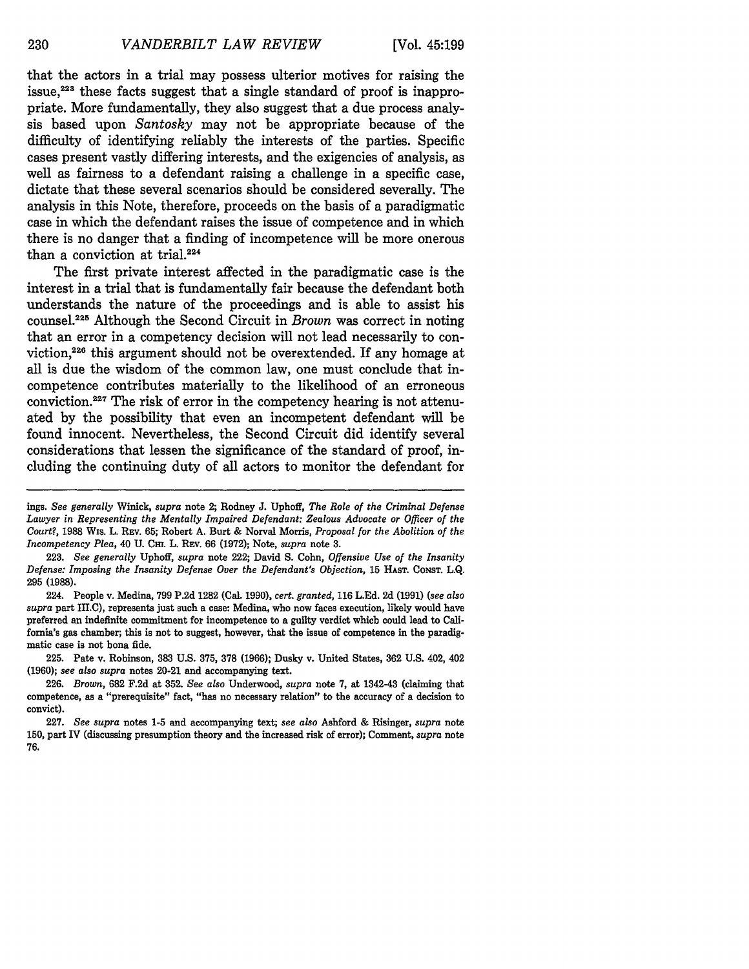that the actors in a trial may possess ulterior motives for raising the issue, $2^{23}$  these facts suggest that a single standard of proof is inappropriate. More fundamentally, they also suggest that a due process analysis based upon *Santosky* may not be appropriate because of the difficulty of identifying reliably the interests of the parties. Specific cases present vastly differing interests, and the exigencies of analysis, as well as fairness to a defendant raising a challenge in a specific case, dictate that these several scenarios should be considered severally. The analysis in this Note, therefore, proceeds on the basis of a paradigmatic case in which the defendant raises the issue of competence and in which there is no danger that a finding of incompetence will be more onerous than a conviction at trial.<sup>224</sup>

The first private interest affected in the paradigmatic case is the interest in a trial that is fundamentally fair because the defendant both understands the nature of the proceedings and is able to assist his counsel.225 Although the Second Circuit in *Brown* was correct in noting that an error in a competency decision will not lead necessarily to conviction,22s this argument should not be overextended. If any homage at all is due the wisdom of the common law, one must conclude that incompetence contributes materially to the likelihood of an erroneous conviction.227 The risk of error in the competency hearing is not attenuated by the possibility that even an incompetent defendant will be found innocent. Nevertheless, the Second Circuit did identify several considerations that lessen the significance of the standard of proof, including the continuing duty of all actors to monitor the defendant for

225. Pate v. Robinson, **383** U.S. 375, **378** (1966); Dusky v. United States, 362 U.S. 402, 402 (1960); *see also supra* notes 20-21 and accompanying text.

230

ings. *See generally* Winick, *supra* note 2; Rodney **J.** Uphoff, *The Role of the Criminal Defense* Lawyer in Representing the Mentally Impaired Defendant: Zealous Advocate or Officer of the *Court?,* 1988 Wis. L. REv. 65; Robert A. Burt & Norval Morris, *Proposal for the Abolition of the Incompetency Plea,* 40 U. CH. L. REv. 66 (1972); Note, *supra* note 3.

<sup>223.</sup> *See generally* Uphoff, *supra* note 222; David S. Cohn, *Offensive Use of the Insanity Defense: Imposing the Insanity Defense Over the Defendant's Objection,* 15 **HAST. CONST.** L.Q. 295 (1988).

<sup>224.</sup> People v. Medina, **799** P.2d 1282 (Cal. 1990), *cert. granted,* 116 **L.Ed.** 2d **(1991)** *(see also supra* part III.C), represents just such a case: Medina, who now faces execution, likely would have preferred an indefinite commitment for incompetence to a guilty verdict which could lead to California's gas chamber; this is not to suggest, however, that the issue of competence in the paradigmatic case is not bona fide.

<sup>226.</sup> *Brown,* 682 F.2d at 352. *See also* Underwood, *supra* note 7, at 1342-43 (claiming that competence, as a "prerequisite" fact, "has no necessary relation" to the accuracy of a decision to convict).

<sup>227.</sup> *See supra* notes 1-5 and accompanying text; *see also* Ashford & Risinger, *supra* note 150, part IV (discussing presumption theory and the increased risk of error); Comment, *supra* note 76.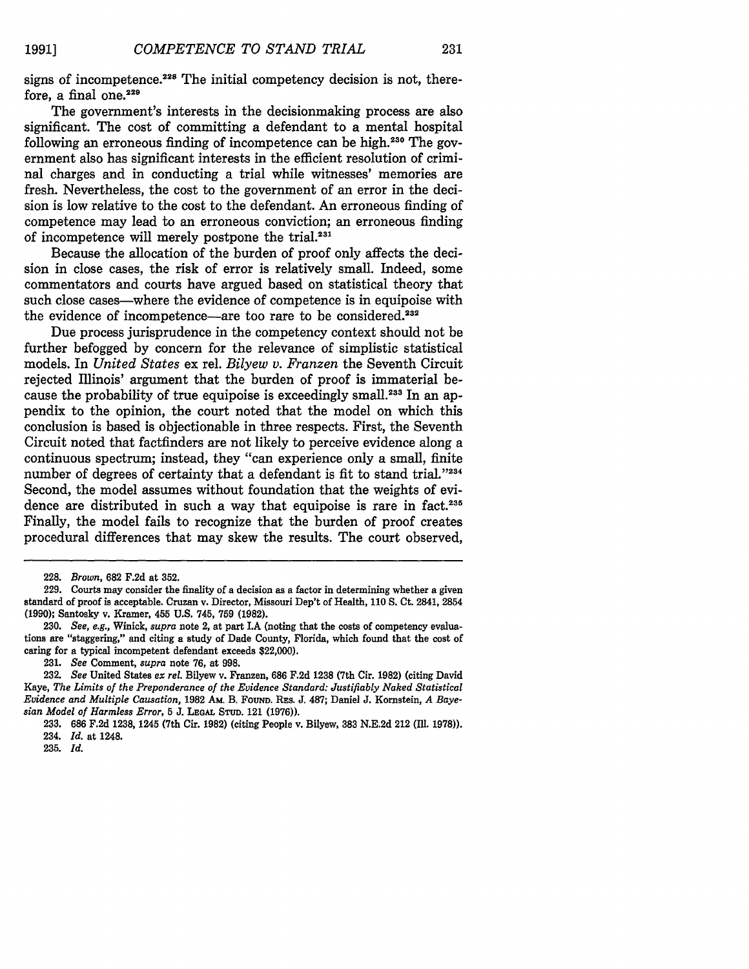231

signs of incompetence. $228$  The initial competency decision is not, therefore, a final one.<sup>229</sup>

The government's interests in the decisionmaking process are also significant. The cost of committing a defendant to a mental hospital following an erroneous finding of incompetence can be high.230 The government also has significant interests in the efficient resolution of criminal charges and in conducting a trial while witnesses' memories are fresh. Nevertheless, the cost to the government of an error in the decision is low relative to the cost to the defendant. An erroneous finding of competence may lead to an erroneous conviction; an erroneous finding of incompetence will merely postpone the trial.<sup>231</sup>

Because the allocation of the burden of proof only affects the decision in close cases, the risk of error is relatively small. Indeed, some commentators and courts have argued based on statistical theory that such close cases—where the evidence of competence is in equipoise with the evidence of incompetence—are too rare to be considered.<sup>232</sup>

Due process jurisprudence in the competency context should not be further befogged **by** concern for the relevance of simplistic statistical models. In *United States* ex rel. *Bilyew v. Franzen* the Seventh Circuit rejected Illinois' argument that the burden of proof is immaterial because the probability of true equipoise is exceedingly small.<sup>233</sup> In an appendix to the opinion, the court noted that the model on which this conclusion is based is objectionable in three respects. First, the Seventh Circuit noted that factfinders are not likely to perceive evidence along a continuous spectrum; instead, they "can experience only a small, finite number of degrees of certainty that a defendant is fit to stand trial."234 Second, the model assumes without foundation that the weights of evidence are distributed in such a way that equipoise is rare in fact.<sup>235</sup> Finally, the model fails to recognize that the burden of proof creates procedural differences that may skew the results. The court observed,

235. *Id.*

**<sup>228.</sup>** *Brown,* **682 F.2d** at **352.**

**<sup>229.</sup>** Courts may consider the finality of a decision as a factor in determining whether a given standard of proof is acceptable. Cruzan **v.** Director, Missouri Dep't of Health, **110 S.** Ct. 2841, 2854 **(1990);** Santosky **v.** Kramer, 455 **U.S.** 745, **759 (1982).**

**<sup>230.</sup>** *See, e.g.,* Winick, *supra* note 2, at part **L.A** (noting that the costs of competency evaluations are "staggering," and citing a study of Dade County, Florida, which found that the cost of caring for a typical incompetent defendant exceeds \$22,000).

**<sup>231.</sup>** *See* Comment, *supra* note **76,** at **998.**

**<sup>232.</sup>** *See* United States *ex rel.* Bilyew v. Franzen, **686 F.2d 1238** (7th Cir. **1982)** (citing David Kaye, *The Limits of the Preponderance of the Evidence Standard: Justifiably Naked Statistical* Evidence and Multiple Causation, 1982 Am. B. FOUND. RES. J. 487; Daniel J. Kornstein, *A Bayesian Model of Harmless Error,* **5 J. LEGAL STUD.** 121 **(1976)).**

<sup>233. 686</sup> F.2d 1238, 1245 (7th Cir. 1982) (citing People v. Bilyew, 383 N.E.2d 212 (IMI. 1978)). 234. Id. at 1248.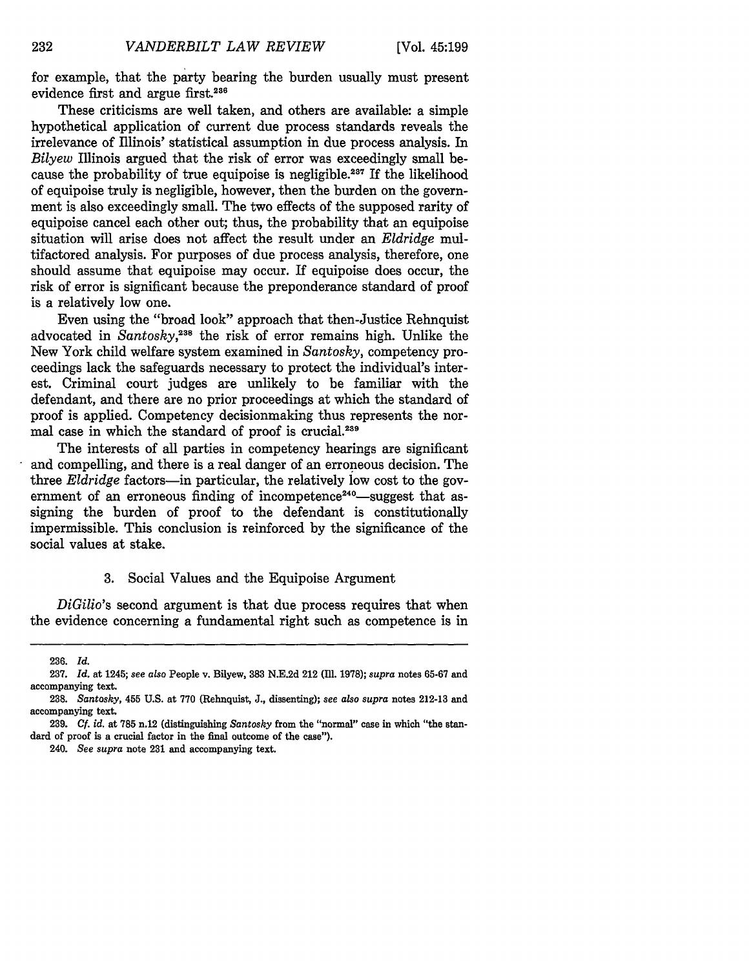for example, that the party bearing the burden usually must present evidence first and argue first.<sup>236</sup>

These criticisms are well taken, and others are available: a simple hypothetical application of current due process standards reveals the irrelevance of Illinois' statistical assumption in due process analysis. In *Bilyew* Illinois argued that the risk of error was exceedingly small because the probability of true equipoise is negligible.<sup>237</sup> If the likelihood of equipoise truly is negligible, however, then the burden on the government is also exceedingly small. The two effects of the supposed rarity of equipoise cancel each other out; thus, the probability that an equipoise situation will arise does not affect the result under an *Eldridge* multifactored analysis. For purposes of due process analysis, therefore, one should assume that equipoise may occur. If equipoise does occur, the risk of error is significant because the preponderance standard of proof is a relatively low one.

Even using the "broad look" approach that then-Justice Rehnquist advocated in *Santosky,38* the risk of error remains high. Unlike the New York child welfare system examined in *Santosky,* competency proceedings lack the safeguards necessary to protect the individual's interest. Criminal court judges are unlikely to be familiar with the defendant, and there are no prior proceedings at which the standard of proof is applied. Competency decisionmaking thus represents the normal case in which the standard of proof is crucial.<sup>239</sup>

The interests of all parties in competency hearings are significant and compelling, and there is a real danger of an erroneous decision. The three *Eldridge* factors-in particular, the relatively low cost to the government of an erroneous finding of incompetence<sup>240</sup>—suggest that assigning the burden of proof to the defendant is constitutionally impermissible. This conclusion is reinforced by the significance of the social values at stake.

#### 3. Social Values and the Equipoise Argument

*DiGilio's* second argument is that due process requires that when the evidence concerning a fundamental right such as competence is in

**<sup>236.</sup>** *Id.*

<sup>237.</sup> *Id.* at 1245; *see also* People v. Bilyew, 383 N.E.2d 212 (Ill. 1978); *supra* **notes** 65-67 and accompanying text.

<sup>238.</sup> *Santosky,* 455 U.S. at 770 (Rehnquist, J., dissenting); *see also supra* **notes** 212-13 and accompanying text.

<sup>239.</sup> *Cf. id.* at 785 n.12 (distinguishing *Santosky* from the "normal" case in which "the **stan**dard of proof is a crucial factor in the final outcome of the case").

<sup>240.</sup> *See supra* note **231** and accompanying text.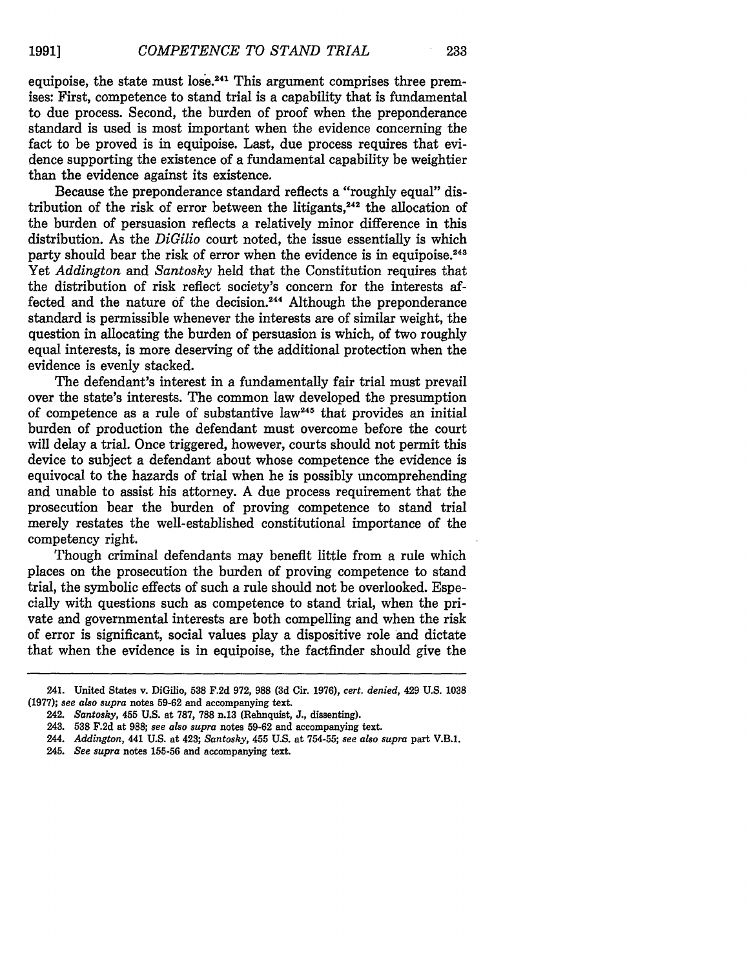233

equipoise, the state must lose.<sup>241</sup> This argument comprises three premises: First, competence to stand trial is a capability that is fundamental to due process. Second, the burden of proof when the preponderance standard is used is most important when the evidence concerning the fact to be proved is in equipoise. Last, due process requires that evidence supporting the existence of a fundamental capability be weightier than the evidence against its existence.

Because the preponderance standard reflects a "roughly equal" distribution of the risk of error between the litigants, $242$  the allocation of the burden of persuasion reflects a relatively minor difference in this distribution. As the *DiGilio* court noted, the issue essentially is which party should bear the risk of error when the evidence is in equipoise.<sup>243</sup> Yet *Addington and Santosky* held that the Constitution requires that the distribution of risk reflect society's concern for the interests affected and the nature of the decision.<sup>244</sup> Although the preponderance standard is permissible whenever the interests are of similar weight, the question in allocating the burden of persuasion is which, of two roughly equal interests, is more deserving of the additional protection when the evidence is evenly stacked.

The defendant's interest in a fundamentally fair trial must prevail over the state's interests. The common law developed the presumption of competence as a rule of substantive law245 that provides an initial burden of production the defendant must overcome before the court will delay a trial. Once triggered, however, courts should not permit this device to subject a defendant about whose competence the evidence is equivocal to the hazards of trial when he is possibly uncomprehending and unable to assist his attorney. A due process requirement that the prosecution bear the burden of proving competence to stand trial merely restates the well-established constitutional importance of the competency right.

Though criminal defendants may benefit little from a rule which places on the prosecution the burden of proving competence to stand trial, the symbolic effects of such a rule should not be overlooked. Especially with questions such as competence to stand trial, when the private and governmental interests are both compelling and when the risk of error is significant, social values play a dispositive role and dictate that when the evidence is in equipoise, the factfinder should give the

<sup>241.</sup> United States v. **DiGlo, 538 F.2d 972, 988 (3d** Cir. **1976),** *cert. denied,* 429 **U.S. 1038 (1977);** *see also supra* notes **59-62** and accompanying text.

<sup>242.</sup> *Santosky,* 455 U.S. at 787, **788** n.13 (Rehnquist, J., dissenting).

<sup>243.</sup> **538** F.2d at 988; *see also supra* notes 59-62 and accompanying text.

<sup>244.</sup> *Addington,* 441 U.S. at 423; *Santosky,* 455 U.S. at 754-55; *see also supra* part V.B.1.

<sup>245.</sup> *See supra* notes **155-56** and accompanying text.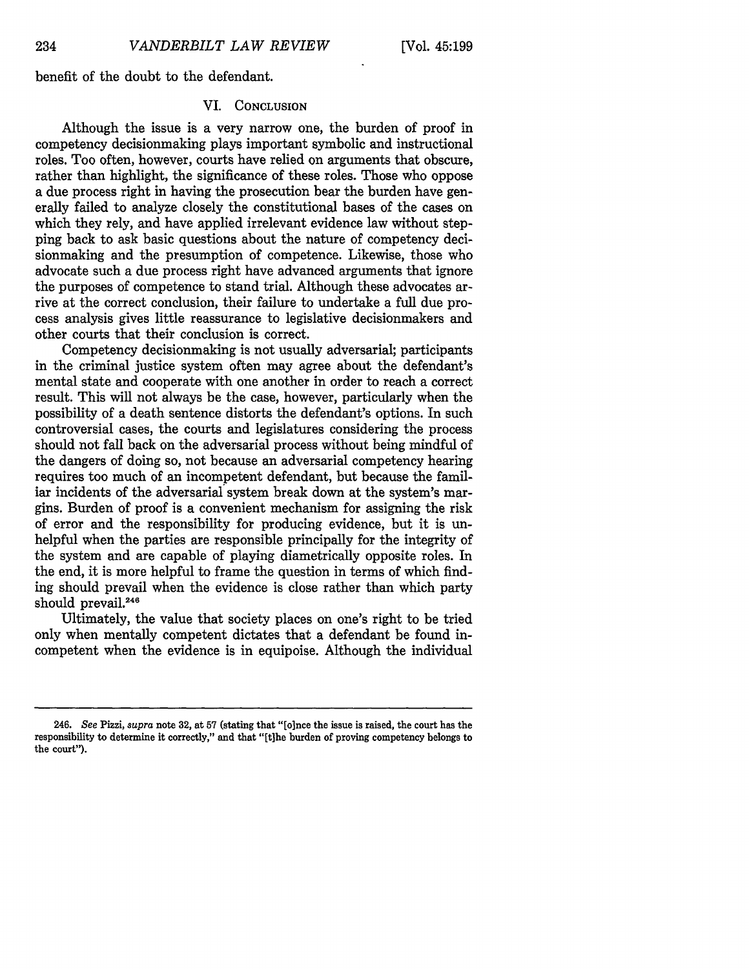benefit of the doubt to the defendant.

#### VI. **CONCLUSION**

Although the issue is a very narrow one, the burden of proof in competency decisionmaking plays important symbolic and instructional roles. Too often, however, courts have relied on arguments that obscure, rather than highlight, the significance of these roles. Those who oppose a due process right in having the prosecution bear the burden have generally failed to analyze closely the constitutional bases of the cases on which they rely, and have applied irrelevant evidence law without stepping back to ask basic questions about the nature of competency decisionmaking and the presumption of competence. Likewise, those who advocate such a due process right have advanced arguments that ignore the purposes of competence to stand trial. Although these advocates arrive at the correct conclusion, their failure to undertake a full due process analysis gives little reassurance to legislative decisionmakers and other courts that their conclusion is correct.

Competency decisionmaking is not usually adversarial; participants in the criminal justice system often may agree about the defendant's mental state and cooperate with one another in order to reach a correct result. This will not always be the case, however, particularly when the possibility of a death sentence distorts the defendant's options. In such controversial cases, the courts and legislatures considering the process should not fall back on the adversarial process without being mindful of the dangers of doing so, not because an adversarial competency hearing requires too much of an incompetent defendant, but because the familiar incidents of the adversarial system break down at the system's margins. Burden of proof is a convenient mechanism for assigning the risk of error and the responsibility for producing evidence, but it is unhelpful when the parties are responsible principally for the integrity of the system and are capable of playing diametrically opposite roles. In the end, it is more helpful to frame the question in terms of which finding should prevail when the evidence is close rather than which party should prevail.<sup>246</sup>

Ultimately, the value that society places on one's right to be tried only when mentally competent dictates that a defendant be found incompetent when the evidence is in equipoise. Although the individual

<sup>246.</sup> *See* Pizzi, *supra* note **32,** at 57 (stating that "[o]nce the issue is raised, the court has the responsibility to determine it correctly," and that "[tihe burden of proving competency belongs to the court").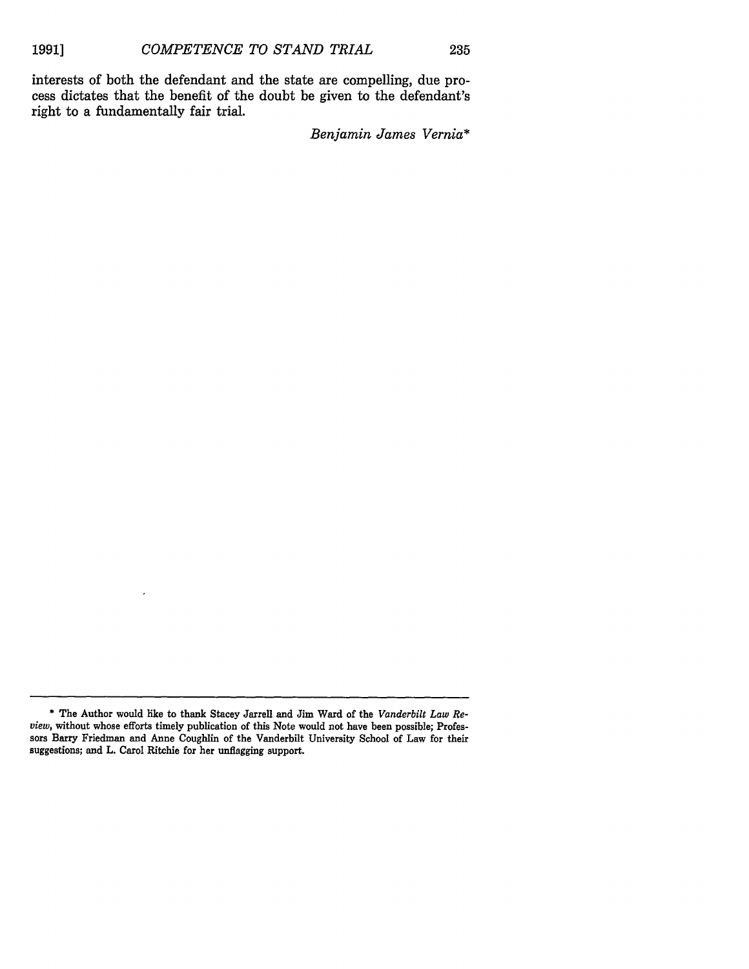interests of both the defendant and the state are compelling, due process dictates that the benefit of the doubt be given to the defendant's right to a fundamentally fair trial.

*Benjamin James Vernia\**

**<sup>\*</sup>** The Author would like to thank Stacey Jarrell and Jim Ward of the *Vanderbilt Law Review,* without whose efforts timely publication of this Note would not have been possible; Professors Barry Friedman and Anne Coughlin of the Vanderbilt University School of Law for their suggestions; and L. Carol Ritchie for her unflagging support.